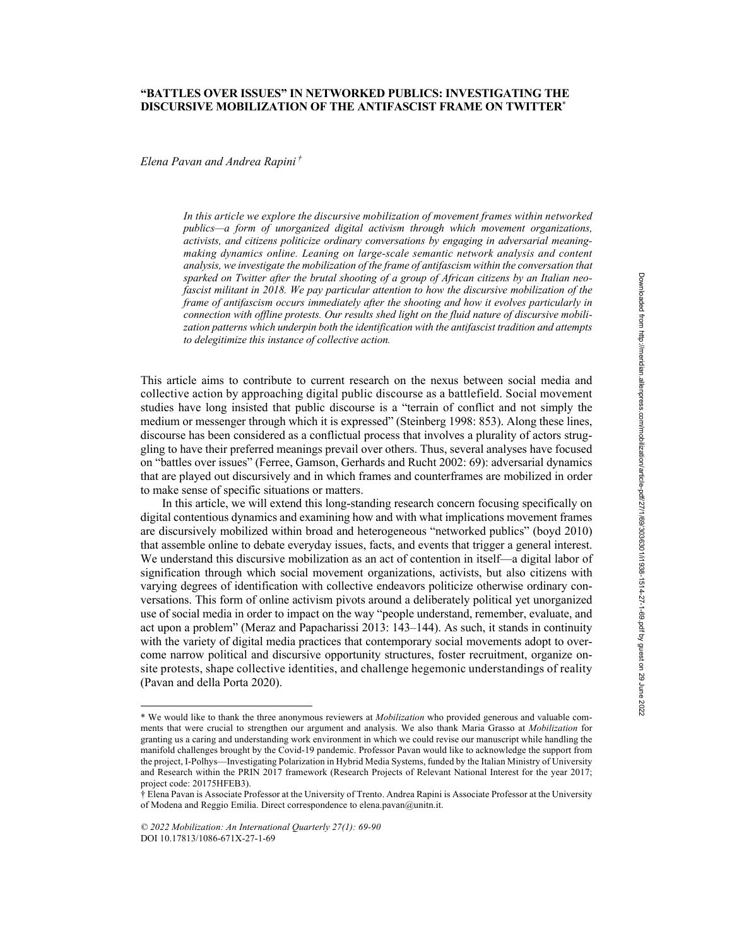# **"BATTLES OVER ISSUES" IN NETWORKED PUBLICS: INVESTIGATING THE DISCURSIVE MOBILIZATION OF THE ANTIFASCIST FRAME ON TWITTER**\*

*Elena Pavan and Andrea Rapini †*

*In this article we explore the discursive mobilization of movement frames within networked publics—a form of unorganized digital activism through which movement organizations, activists, and citizens politicize ordinary conversations by engaging in adversarial meaningmaking dynamics online. Leaning on large-scale semantic network analysis and content analysis, we investigate the mobilization of the frame of antifascism within the conversation that sparked on Twitter after the brutal shooting of a group of African citizens by an Italian neofascist militant in 2018. We pay particular attention to how the discursive mobilization of the frame of antifascism occurs immediately after the shooting and how it evolves particularly in connection with offline protests. Our results shed light on the fluid nature of discursive mobilization patterns which underpin both the identification with the antifascist tradition and attempts to delegitimize this instance of collective action.*

This article aims to contribute to current research on the nexus between social media and collective action by approaching digital public discourse as a battlefield. Social movement studies have long insisted that public discourse is a "terrain of conflict and not simply the medium or messenger through which it is expressed" (Steinberg 1998: 853). Along these lines, discourse has been considered as a conflictual process that involves a plurality of actors struggling to have their preferred meanings prevail over others. Thus, several analyses have focused on "battles over issues" (Ferree, Gamson, Gerhards and Rucht 2002: 69): adversarial dynamics that are played out discursively and in which frames and counterframes are mobilized in order to make sense of specific situations or matters.

In this article, we will extend this long-standing research concern focusing specifically on digital contentious dynamics and examining how and with what implications movement frames are discursively mobilized within broad and heterogeneous "networked publics" (boyd 2010) that assemble online to debate everyday issues, facts, and events that trigger a general interest. We understand this discursive mobilization as an act of contention in itself—a digital labor of signification through which social movement organizations, activists, but also citizens with varying degrees of identification with collective endeavors politicize otherwise ordinary conversations. This form of online activism pivots around a deliberately political yet unorganized use of social media in order to impact on the way "people understand, remember, evaluate, and act upon a problem" (Meraz and Papacharissi 2013: 143–144). As such, it stands in continuity with the variety of digital media practices that contemporary social movements adopt to overcome narrow political and discursive opportunity structures, foster recruitment, organize onsite protests, shape collective identities, and challenge hegemonic understandings of reality (Pavan and della Porta 2020).

<sup>\*</sup> We would like to thank the three anonymous reviewers at *Mobilization* who provided generous and valuable comments that were crucial to strengthen our argument and analysis. We also thank Maria Grasso at *Mobilization* for granting us a caring and understanding work environment in which we could revise our manuscript while handling the manifold challenges brought by the Covid-19 pandemic. Professor Pavan would like to acknowledge the support from the project, I-Polhys—Investigating Polarization in Hybrid Media Systems, funded by the Italian Ministry of University and Research within the PRIN 2017 framework (Research Projects of Relevant National Interest for the year 2017; project code: 20175HFEB3).

<sup>†</sup> Elena Pavan is Associate Professor at the University of Trento. Andrea Rapini is Associate Professor at the University of Modena and Reggio Emilia. Direct correspondence to elena.pavan@unitn.it.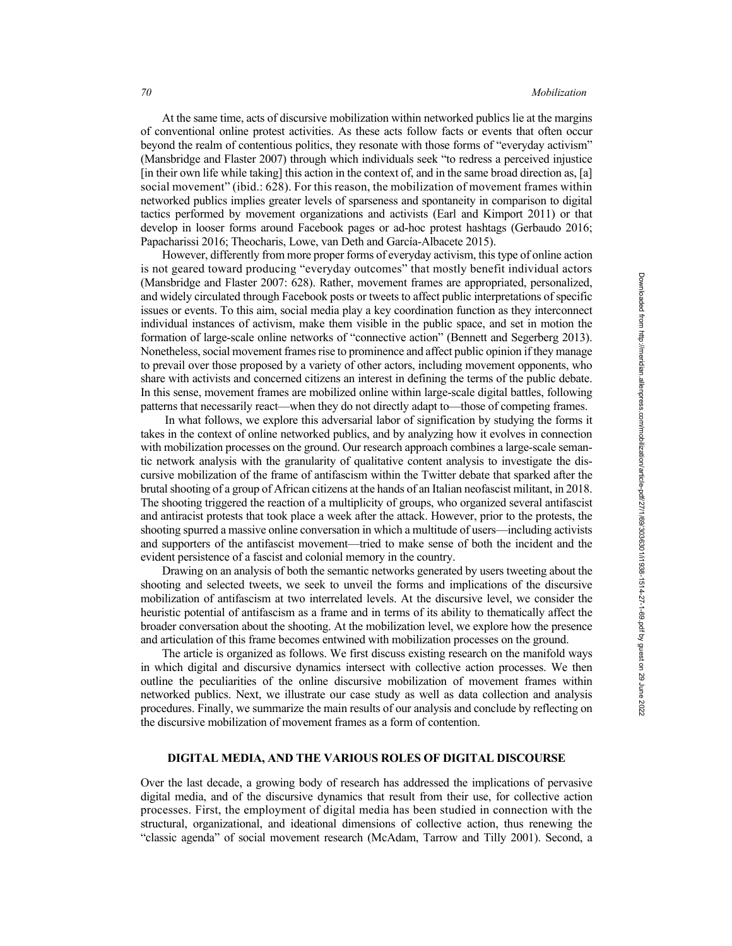At the same time, acts of discursive mobilization within networked publics lie at the margins of conventional online protest activities. As these acts follow facts or events that often occur beyond the realm of contentious politics, they resonate with those forms of "everyday activism" (Mansbridge and Flaster 2007) through which individuals seek "to redress a perceived injustice [in their own life while taking] this action in the context of, and in the same broad direction as, [a] social movement" (ibid.: 628). For this reason, the mobilization of movement frames within networked publics implies greater levels of sparseness and spontaneity in comparison to digital tactics performed by movement organizations and activists (Earl and Kimport 2011) or that develop in looser forms around Facebook pages or ad-hoc protest hashtags (Gerbaudo 2016; Papacharissi 2016; Theocharis, Lowe, van Deth and García-Albacete 2015).

However, differently from more proper forms of everyday activism, this type of online action is not geared toward producing "everyday outcomes" that mostly benefit individual actors (Mansbridge and Flaster 2007: 628). Rather, movement frames are appropriated, personalized, and widely circulated through Facebook posts or tweets to affect public interpretations of specific issues or events. To this aim, social media play a key coordination function as they interconnect individual instances of activism, make them visible in the public space, and set in motion the formation of large-scale online networks of "connective action" (Bennett and Segerberg 2013). Nonetheless, social movement frames rise to prominence and affect public opinion if they manage to prevail over those proposed by a variety of other actors, including movement opponents, who share with activists and concerned citizens an interest in defining the terms of the public debate. In this sense, movement frames are mobilized online within large-scale digital battles, following patterns that necessarily react—when they do not directly adapt to—those of competing frames.

In what follows, we explore this adversarial labor of signification by studying the forms it takes in the context of online networked publics, and by analyzing how it evolves in connection with mobilization processes on the ground. Our research approach combines a large-scale semantic network analysis with the granularity of qualitative content analysis to investigate the discursive mobilization of the frame of antifascism within the Twitter debate that sparked after the brutal shooting of a group of African citizens at the hands of an Italian neofascist militant, in 2018. The shooting triggered the reaction of a multiplicity of groups, who organized several antifascist and antiracist protests that took place a week after the attack. However, prior to the protests, the shooting spurred a massive online conversation in which a multitude of users—including activists and supporters of the antifascist movement—tried to make sense of both the incident and the evident persistence of a fascist and colonial memory in the country.

Drawing on an analysis of both the semantic networks generated by users tweeting about the shooting and selected tweets, we seek to unveil the forms and implications of the discursive mobilization of antifascism at two interrelated levels. At the discursive level, we consider the heuristic potential of antifascism as a frame and in terms of its ability to thematically affect the broader conversation about the shooting. At the mobilization level, we explore how the presence and articulation of this frame becomes entwined with mobilization processes on the ground.

The article is organized as follows. We first discuss existing research on the manifold ways in which digital and discursive dynamics intersect with collective action processes. We then outline the peculiarities of the online discursive mobilization of movement frames within networked publics. Next, we illustrate our case study as well as data collection and analysis procedures. Finally, we summarize the main results of our analysis and conclude by reflecting on the discursive mobilization of movement frames as a form of contention.

## **DIGITAL MEDIA, AND THE VARIOUS ROLES OF DIGITAL DISCOURSE**

Over the last decade, a growing body of research has addressed the implications of pervasive digital media, and of the discursive dynamics that result from their use, for collective action processes. First, the employment of digital media has been studied in connection with the structural, organizational, and ideational dimensions of collective action, thus renewing the "classic agenda" of social movement research (McAdam, Tarrow and Tilly 2001). Second, a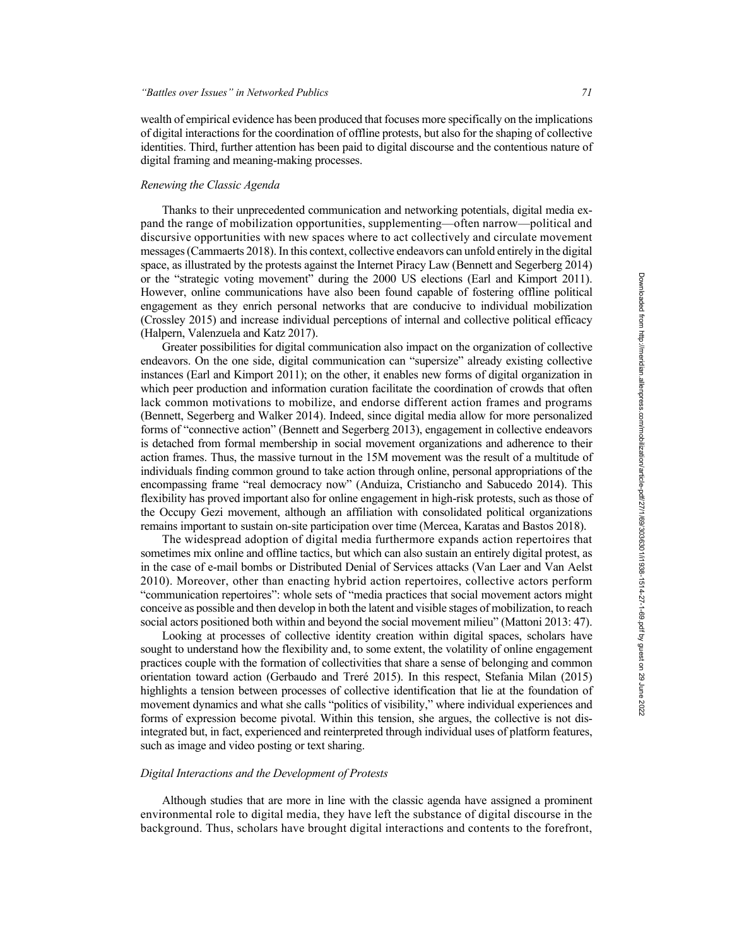wealth of empirical evidence has been produced that focuses more specifically on the implications of digital interactions for the coordination of offline protests, but also for the shaping of collective identities. Third, further attention has been paid to digital discourse and the contentious nature of digital framing and meaning-making processes.

#### *Renewing the Classic Agenda*

Thanks to their unprecedented communication and networking potentials, digital media expand the range of mobilization opportunities, supplementing—often narrow—political and discursive opportunities with new spaces where to act collectively and circulate movement messages (Cammaerts 2018). In this context, collective endeavors can unfold entirely in the digital space, as illustrated by the protests against the Internet Piracy Law (Bennett and Segerberg 2014) or the "strategic voting movement" during the 2000 US elections (Earl and Kimport 2011). However, online communications have also been found capable of fostering offline political engagement as they enrich personal networks that are conducive to individual mobilization (Crossley 2015) and increase individual perceptions of internal and collective political efficacy (Halpern, Valenzuela and Katz 2017).

Greater possibilities for digital communication also impact on the organization of collective endeavors. On the one side, digital communication can "supersize" already existing collective instances (Earl and Kimport 2011); on the other, it enables new forms of digital organization in which peer production and information curation facilitate the coordination of crowds that often lack common motivations to mobilize, and endorse different action frames and programs (Bennett, Segerberg and Walker 2014). Indeed, since digital media allow for more personalized forms of "connective action" (Bennett and Segerberg 2013), engagement in collective endeavors is detached from formal membership in social movement organizations and adherence to their action frames. Thus, the massive turnout in the 15M movement was the result of a multitude of individuals finding common ground to take action through online, personal appropriations of the encompassing frame "real democracy now" (Anduiza, Cristiancho and Sabucedo 2014). This flexibility has proved important also for online engagement in high-risk protests, such as those of the Occupy Gezi movement, although an affiliation with consolidated political organizations remains important to sustain on-site participation over time (Mercea, Karatas and Bastos 2018).

The widespread adoption of digital media furthermore expands action repertoires that sometimes mix online and offline tactics, but which can also sustain an entirely digital protest, as in the case of e-mail bombs or Distributed Denial of Services attacks (Van Laer and Van Aelst 2010). Moreover, other than enacting hybrid action repertoires, collective actors perform "communication repertoires": whole sets of "media practices that social movement actors might conceive as possible and then develop in both the latent and visible stages of mobilization, to reach social actors positioned both within and beyond the social movement milieu" (Mattoni 2013: 47).

Looking at processes of collective identity creation within digital spaces, scholars have sought to understand how the flexibility and, to some extent, the volatility of online engagement practices couple with the formation of collectivities that share a sense of belonging and common orientation toward action (Gerbaudo and Treré 2015). In this respect, Stefania Milan (2015) highlights a tension between processes of collective identification that lie at the foundation of movement dynamics and what she calls "politics of visibility," where individual experiences and forms of expression become pivotal. Within this tension, she argues, the collective is not disintegrated but, in fact, experienced and reinterpreted through individual uses of platform features, such as image and video posting or text sharing.

## *Digital Interactions and the Development of Protests*

Although studies that are more in line with the classic agenda have assigned a prominent environmental role to digital media, they have left the substance of digital discourse in the background. Thus, scholars have brought digital interactions and contents to the forefront,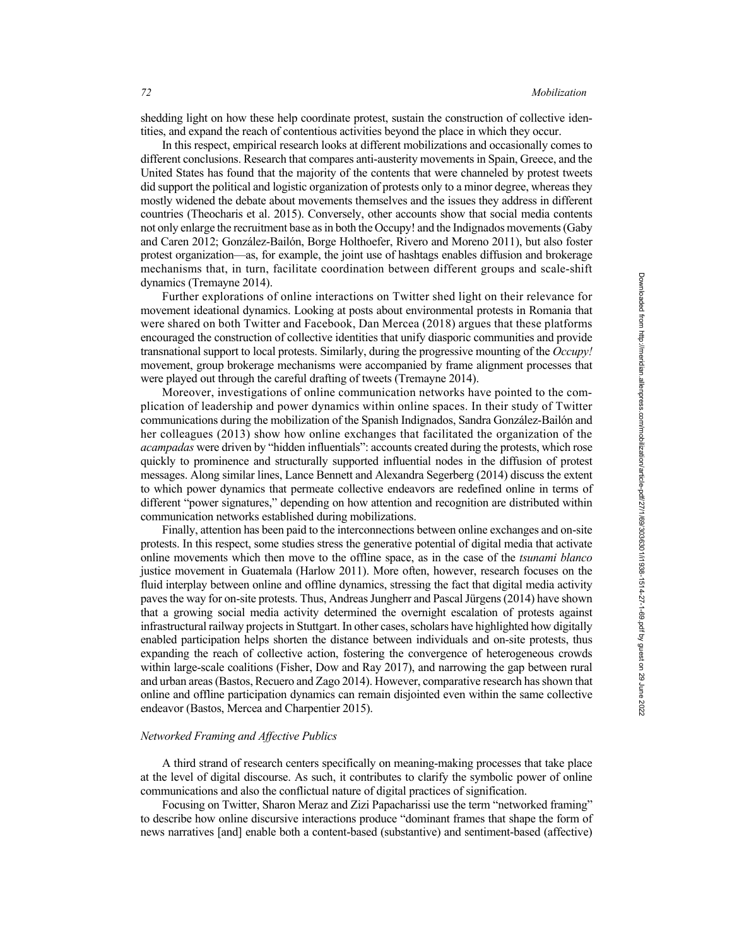shedding light on how these help coordinate protest, sustain the construction of collective identities, and expand the reach of contentious activities beyond the place in which they occur.

In this respect, empirical research looks at different mobilizations and occasionally comes to different conclusions. Research that compares anti-austerity movements in Spain, Greece, and the United States has found that the majority of the contents that were channeled by protest tweets did support the political and logistic organization of protests only to a minor degree, whereas they mostly widened the debate about movements themselves and the issues they address in different countries (Theocharis et al. 2015). Conversely, other accounts show that social media contents not only enlarge the recruitment base as in both the Occupy! and the Indignados movements (Gaby and Caren 2012; González-Bailón, Borge Holthoefer, Rivero and Moreno 2011), but also foster protest organization—as, for example, the joint use of hashtags enables diffusion and brokerage mechanisms that, in turn, facilitate coordination between different groups and scale-shift dynamics (Tremayne 2014).

Further explorations of online interactions on Twitter shed light on their relevance for movement ideational dynamics. Looking at posts about environmental protests in Romania that were shared on both Twitter and Facebook, Dan Mercea (2018) argues that these platforms encouraged the construction of collective identities that unify diasporic communities and provide transnational support to local protests. Similarly, during the progressive mounting of the *Occupy!*  movement, group brokerage mechanisms were accompanied by frame alignment processes that were played out through the careful drafting of tweets (Tremayne 2014).

Moreover, investigations of online communication networks have pointed to the complication of leadership and power dynamics within online spaces. In their study of Twitter communications during the mobilization of the Spanish Indignados, Sandra González-Bailón and her colleagues (2013) show how online exchanges that facilitated the organization of the *acampadas* were driven by "hidden influentials": accounts created during the protests, which rose quickly to prominence and structurally supported influential nodes in the diffusion of protest messages. Along similar lines, Lance Bennett and Alexandra Segerberg (2014) discuss the extent to which power dynamics that permeate collective endeavors are redefined online in terms of different "power signatures," depending on how attention and recognition are distributed within communication networks established during mobilizations.

Finally, attention has been paid to the interconnections between online exchanges and on-site protests. In this respect, some studies stress the generative potential of digital media that activate online movements which then move to the offline space, as in the case of the *tsunami blanco*  justice movement in Guatemala (Harlow 2011). More often, however, research focuses on the fluid interplay between online and offline dynamics, stressing the fact that digital media activity paves the way for on-site protests. Thus, Andreas Jungherr and Pascal Jürgens (2014) have shown that a growing social media activity determined the overnight escalation of protests against infrastructural railway projects in Stuttgart. In other cases, scholars have highlighted how digitally enabled participation helps shorten the distance between individuals and on-site protests, thus expanding the reach of collective action, fostering the convergence of heterogeneous crowds within large-scale coalitions (Fisher, Dow and Ray 2017), and narrowing the gap between rural and urban areas (Bastos, Recuero and Zago 2014). However, comparative research has shown that online and offline participation dynamics can remain disjointed even within the same collective endeavor (Bastos, Mercea and Charpentier 2015).

#### *Networked Framing and Affective Publics*

A third strand of research centers specifically on meaning-making processes that take place at the level of digital discourse. As such, it contributes to clarify the symbolic power of online communications and also the conflictual nature of digital practices of signification.

Focusing on Twitter, Sharon Meraz and Zizi Papacharissi use the term "networked framing" to describe how online discursive interactions produce "dominant frames that shape the form of news narratives [and] enable both a content-based (substantive) and sentiment-based (affective)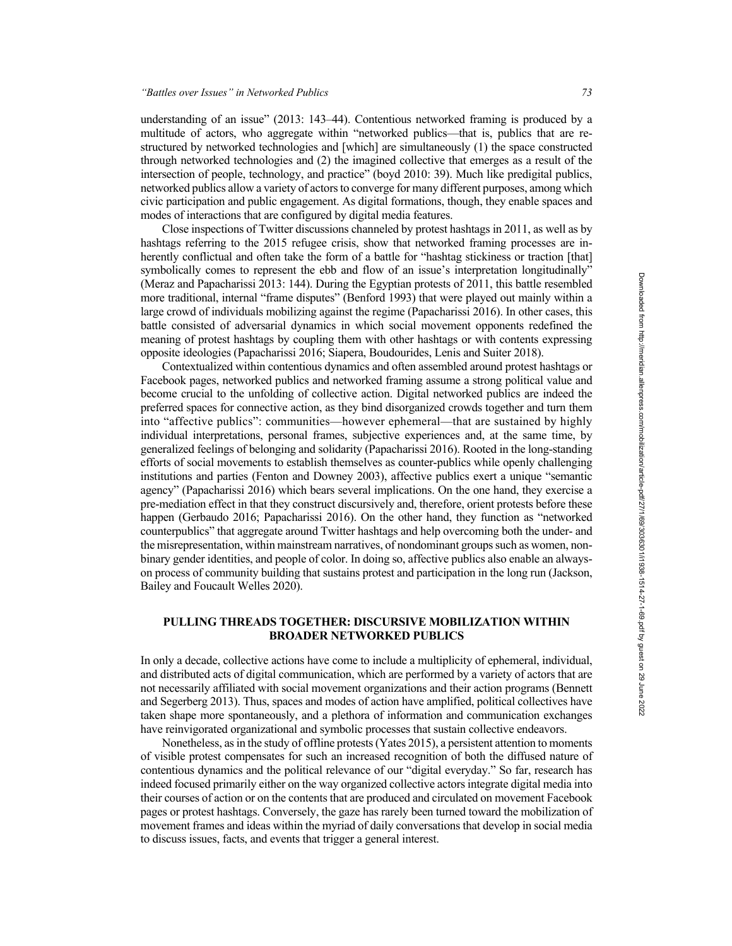understanding of an issue" (2013: 143–44). Contentious networked framing is produced by a multitude of actors, who aggregate within "networked publics—that is, publics that are restructured by networked technologies and [which] are simultaneously (1) the space constructed through networked technologies and (2) the imagined collective that emerges as a result of the intersection of people, technology, and practice" (boyd 2010: 39). Much like predigital publics, networked publics allow a variety of actors to converge for many different purposes, among which civic participation and public engagement. As digital formations, though, they enable spaces and modes of interactions that are configured by digital media features.

Close inspections of Twitter discussions channeled by protest hashtags in 2011, as well as by hashtags referring to the 2015 refugee crisis, show that networked framing processes are inherently conflictual and often take the form of a battle for "hashtag stickiness or traction [that] symbolically comes to represent the ebb and flow of an issue's interpretation longitudinally" (Meraz and Papacharissi 2013: 144). During the Egyptian protests of 2011, this battle resembled more traditional, internal "frame disputes" (Benford 1993) that were played out mainly within a large crowd of individuals mobilizing against the regime (Papacharissi 2016). In other cases, this battle consisted of adversarial dynamics in which social movement opponents redefined the meaning of protest hashtags by coupling them with other hashtags or with contents expressing opposite ideologies (Papacharissi 2016; Siapera, Boudourides, Lenis and Suiter 2018).

Contextualized within contentious dynamics and often assembled around protest hashtags or Facebook pages, networked publics and networked framing assume a strong political value and become crucial to the unfolding of collective action. Digital networked publics are indeed the preferred spaces for connective action, as they bind disorganized crowds together and turn them into "affective publics": communities—however ephemeral—that are sustained by highly individual interpretations, personal frames, subjective experiences and, at the same time, by generalized feelings of belonging and solidarity (Papacharissi 2016). Rooted in the long-standing efforts of social movements to establish themselves as counter-publics while openly challenging institutions and parties (Fenton and Downey 2003), affective publics exert a unique "semantic agency" (Papacharissi 2016) which bears several implications. On the one hand, they exercise a pre-mediation effect in that they construct discursively and, therefore, orient protests before these happen (Gerbaudo 2016; Papacharissi 2016). On the other hand, they function as "networked counterpublics" that aggregate around Twitter hashtags and help overcoming both the under- and the misrepresentation, within mainstream narratives, of nondominant groups such as women, nonbinary gender identities, and people of color. In doing so, affective publics also enable an alwayson process of community building that sustains protest and participation in the long run (Jackson, Bailey and Foucault Welles 2020).

# **PULLING THREADS TOGETHER: DISCURSIVE MOBILIZATION WITHIN BROADER NETWORKED PUBLICS**

In only a decade, collective actions have come to include a multiplicity of ephemeral, individual, and distributed acts of digital communication, which are performed by a variety of actors that are not necessarily affiliated with social movement organizations and their action programs (Bennett and Segerberg 2013). Thus, spaces and modes of action have amplified, political collectives have taken shape more spontaneously, and a plethora of information and communication exchanges have reinvigorated organizational and symbolic processes that sustain collective endeavors.

Nonetheless, as in the study of offline protests (Yates 2015), a persistent attention to moments of visible protest compensates for such an increased recognition of both the diffused nature of contentious dynamics and the political relevance of our "digital everyday." So far, research has indeed focused primarily either on the way organized collective actors integrate digital media into their courses of action or on the contents that are produced and circulated on movement Facebook pages or protest hashtags. Conversely, the gaze has rarely been turned toward the mobilization of movement frames and ideas within the myriad of daily conversations that develop in social media to discuss issues, facts, and events that trigger a general interest.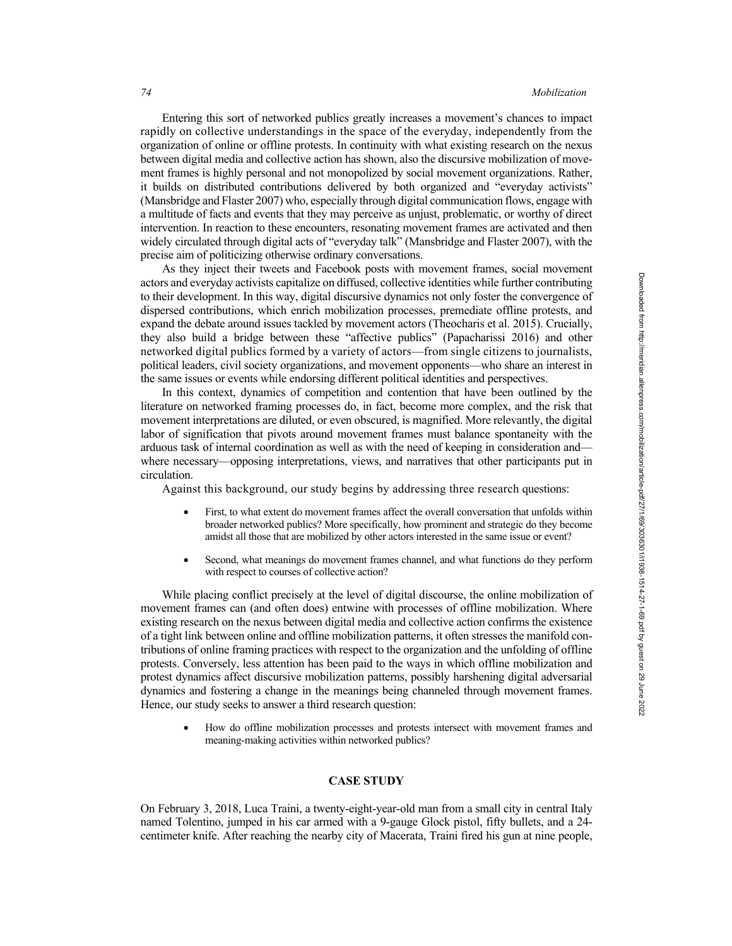Entering this sort of networked publics greatly increases a movement's chances to impact rapidly on collective understandings in the space of the everyday, independently from the organization of online or offline protests. In continuity with what existing research on the nexus between digital media and collective action has shown, also the discursive mobilization of movement frames is highly personal and not monopolized by social movement organizations. Rather, it builds on distributed contributions delivered by both organized and "everyday activists" (Mansbridge and Flaster 2007) who, especially through digital communication flows, engage with a multitude of facts and events that they may perceive as unjust, problematic, or worthy of direct intervention. In reaction to these encounters, resonating movement frames are activated and then widely circulated through digital acts of "everyday talk" (Mansbridge and Flaster 2007), with the precise aim of politicizing otherwise ordinary conversations.

As they inject their tweets and Facebook posts with movement frames, social movement actors and everyday activists capitalize on diffused, collective identities while further contributing to their development. In this way, digital discursive dynamics not only foster the convergence of dispersed contributions, which enrich mobilization processes, premediate offline protests, and expand the debate around issues tackled by movement actors (Theocharis et al. 2015). Crucially, they also build a bridge between these "affective publics" (Papacharissi 2016) and other networked digital publics formed by a variety of actors—from single citizens to journalists, political leaders, civil society organizations, and movement opponents—who share an interest in the same issues or events while endorsing different political identities and perspectives.

In this context, dynamics of competition and contention that have been outlined by the literature on networked framing processes do, in fact, become more complex, and the risk that movement interpretations are diluted, or even obscured, is magnified. More relevantly, the digital labor of signification that pivots around movement frames must balance spontaneity with the arduous task of internal coordination as well as with the need of keeping in consideration and where necessary—opposing interpretations, views, and narratives that other participants put in circulation.

Against this background, our study begins by addressing three research questions:

- First, to what extent do movement frames affect the overall conversation that unfolds within broader networked publics? More specifically, how prominent and strategic do they become amidst all those that are mobilized by other actors interested in the same issue or event?
- Second, what meanings do movement frames channel, and what functions do they perform with respect to courses of collective action?

While placing conflict precisely at the level of digital discourse, the online mobilization of movement frames can (and often does) entwine with processes of offline mobilization. Where existing research on the nexus between digital media and collective action confirms the existence of a tight link between online and offline mobilization patterns, it often stresses the manifold contributions of online framing practices with respect to the organization and the unfolding of offline protests. Conversely, less attention has been paid to the ways in which offline mobilization and protest dynamics affect discursive mobilization patterns, possibly harshening digital adversarial dynamics and fostering a change in the meanings being channeled through movement frames. Hence, our study seeks to answer a third research question:

• How do offline mobilization processes and protests intersect with movement frames and meaning-making activities within networked publics?

## **CASE STUDY**

On February 3, 2018, Luca Traini, a twenty-eight-year-old man from a small city in central Italy named Tolentino, jumped in his car armed with a 9-gauge Glock pistol, fifty bullets, and a 24 centimeter knife. After reaching the nearby city of Macerata, Traini fired his gun at nine people,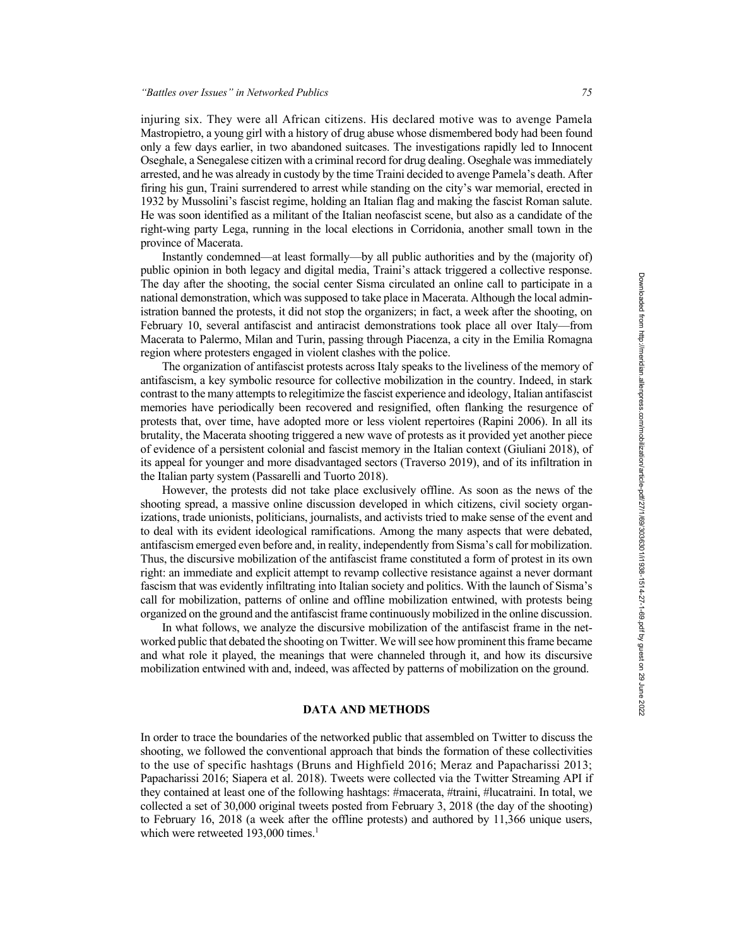injuring six. They were all African citizens. His declared motive was to avenge Pamela Mastropietro, a young girl with a history of drug abuse whose dismembered body had been found only a few days earlier, in two abandoned suitcases. The investigations rapidly led to Innocent Oseghale, a Senegalese citizen with a criminal record for drug dealing. Oseghale was immediately arrested, and he was already in custody by the time Traini decided to avenge Pamela's death. After firing his gun, Traini surrendered to arrest while standing on the city's war memorial, erected in 1932 by Mussolini's fascist regime, holding an Italian flag and making the fascist Roman salute. He was soon identified as a militant of the Italian neofascist scene, but also as a candidate of the right-wing party Lega, running in the local elections in Corridonia, another small town in the province of Macerata.

Instantly condemned—at least formally—by all public authorities and by the (majority of) public opinion in both legacy and digital media, Traini's attack triggered a collective response. The day after the shooting, the social center Sisma circulated an online call to participate in a national demonstration, which was supposed to take place in Macerata. Although the local administration banned the protests, it did not stop the organizers; in fact, a week after the shooting, on February 10, several antifascist and antiracist demonstrations took place all over Italy—from Macerata to Palermo, Milan and Turin, passing through Piacenza, a city in the Emilia Romagna region where protesters engaged in violent clashes with the police.

The organization of antifascist protests across Italy speaks to the liveliness of the memory of antifascism, a key symbolic resource for collective mobilization in the country. Indeed, in stark contrast to the many attempts to relegitimize the fascist experience and ideology, Italian antifascist memories have periodically been recovered and resignified, often flanking the resurgence of protests that, over time, have adopted more or less violent repertoires (Rapini 2006). In all its brutality, the Macerata shooting triggered a new wave of protests as it provided yet another piece of evidence of a persistent colonial and fascist memory in the Italian context (Giuliani 2018), of its appeal for younger and more disadvantaged sectors (Traverso 2019), and of its infiltration in the Italian party system (Passarelli and Tuorto 2018).

However, the protests did not take place exclusively offline. As soon as the news of the shooting spread, a massive online discussion developed in which citizens, civil society organizations, trade unionists, politicians, journalists, and activists tried to make sense of the event and to deal with its evident ideological ramifications. Among the many aspects that were debated, antifascism emerged even before and, in reality, independently from Sisma's call for mobilization. Thus, the discursive mobilization of the antifascist frame constituted a form of protest in its own right: an immediate and explicit attempt to revamp collective resistance against a never dormant fascism that was evidently infiltrating into Italian society and politics. With the launch of Sisma's call for mobilization, patterns of online and offline mobilization entwined, with protests being organized on the ground and the antifascist frame continuously mobilized in the online discussion.

In what follows, we analyze the discursive mobilization of the antifascist frame in the networked public that debated the shooting on Twitter. We will see how prominent this frame became and what role it played, the meanings that were channeled through it, and how its discursive mobilization entwined with and, indeed, was affected by patterns of mobilization on the ground.

#### **DATA AND METHODS**

In order to trace the boundaries of the networked public that assembled on Twitter to discuss the shooting, we followed the conventional approach that binds the formation of these collectivities to the use of specific hashtags (Bruns and Highfield 2016; Meraz and Papacharissi 2013; Papacharissi 2016; Siapera et al. 2018). Tweets were collected via the Twitter Streaming API if they contained at least one of the following hashtags: #macerata, #traini, #lucatraini. In total, we collected a set of 30,000 original tweets posted from February 3, 2018 (the day of the shooting) to February 16, 2018 (a week after the offline protests) and authored by 11,366 unique users, which were retweeted  $193,000$  times.<sup>1</sup>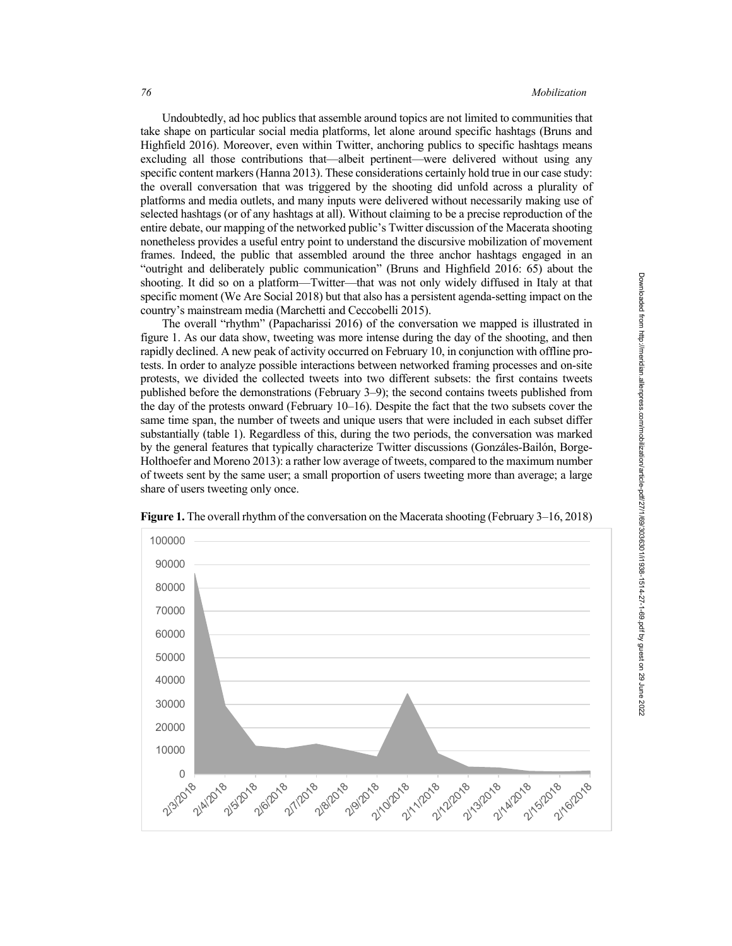Undoubtedly, ad hoc publics that assemble around topics are not limited to communities that take shape on particular social media platforms, let alone around specific hashtags (Bruns and Highfield 2016). Moreover, even within Twitter, anchoring publics to specific hashtags means excluding all those contributions that—albeit pertinent—were delivered without using any specific content markers (Hanna 2013). These considerations certainly hold true in our case study: the overall conversation that was triggered by the shooting did unfold across a plurality of platforms and media outlets, and many inputs were delivered without necessarily making use of selected hashtags (or of any hashtags at all). Without claiming to be a precise reproduction of the entire debate, our mapping of the networked public's Twitter discussion of the Macerata shooting nonetheless provides a useful entry point to understand the discursive mobilization of movement frames. Indeed, the public that assembled around the three anchor hashtags engaged in an "outright and deliberately public communication" (Bruns and Highfield 2016: 65) about the shooting. It did so on a platform—Twitter—that was not only widely diffused in Italy at that specific moment (We Are Social 2018) but that also has a persistent agenda-setting impact on the country's mainstream media (Marchetti and Ceccobelli 2015).

The overall "rhythm" (Papacharissi 2016) of the conversation we mapped is illustrated in figure 1. As our data show, tweeting was more intense during the day of the shooting, and then rapidly declined. A new peak of activity occurred on February 10, in conjunction with offline protests. In order to analyze possible interactions between networked framing processes and on-site protests, we divided the collected tweets into two different subsets: the first contains tweets published before the demonstrations (February 3–9); the second contains tweets published from the day of the protests onward (February 10–16). Despite the fact that the two subsets cover the same time span, the number of tweets and unique users that were included in each subset differ substantially (table 1). Regardless of this, during the two periods, the conversation was marked by the general features that typically characterize Twitter discussions (Gonzáles-Bailón, Borge-Holthoefer and Moreno 2013): a rather low average of tweets, compared to the maximum number of tweets sent by the same user; a small proportion of users tweeting more than average; a large share of users tweeting only once.



**Figure 1.** The overall rhythm of the conversation on the Macerata shooting (February 3–16, 2018)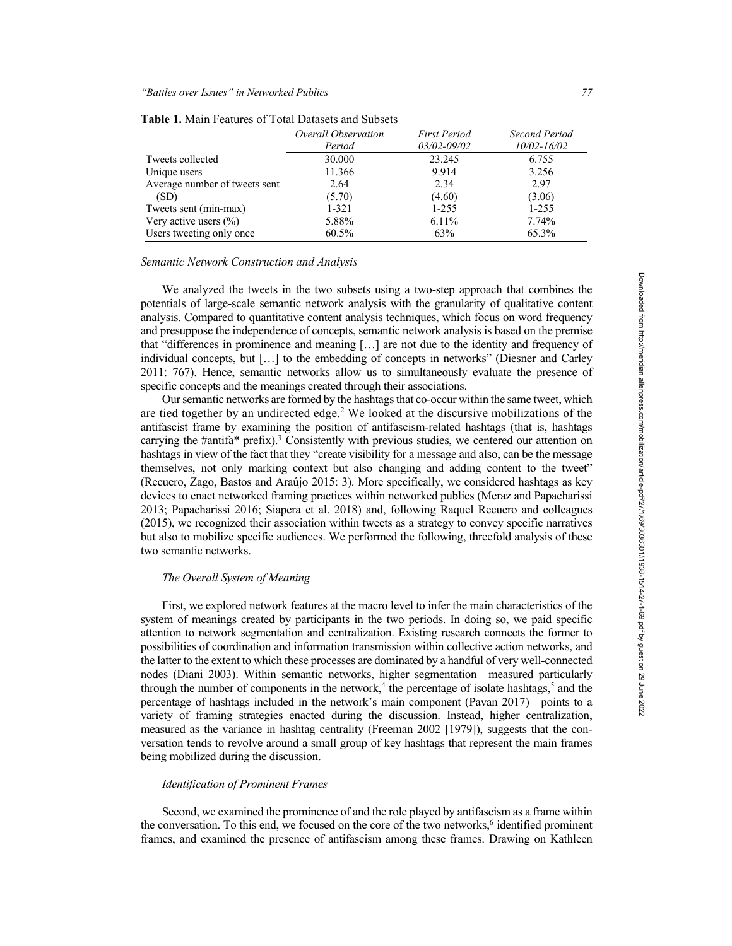|                               | Overall Observation | <b>First Period</b> | Second Period   |
|-------------------------------|---------------------|---------------------|-----------------|
|                               | Period              | $03/02 - 09/02$     | $10/02 - 16/02$ |
| Tweets collected              | 30.000              | 23.245              | 6.755           |
| Unique users                  | 11.366              | 9.914               | 3.256           |
| Average number of tweets sent | 2.64                | 2.34                | 2.97            |
| (SD)                          | (5.70)              | (4.60)              | (3.06)          |
| Tweets sent (min-max)         | $1 - 321$           | $1 - 255$           | $1 - 255$       |
| Very active users $(\% )$     | 5.88%               | 6.11%               | 7.74%           |
| Users tweeting only once      | $60.5\%$            | 63%                 | 65.3%           |

**Table 1.** Main Features of Total Datasets and Subsets

## *Semantic Network Construction and Analysis*

We analyzed the tweets in the two subsets using a two-step approach that combines the potentials of large-scale semantic network analysis with the granularity of qualitative content analysis. Compared to quantitative content analysis techniques, which focus on word frequency and presuppose the independence of concepts, semantic network analysis is based on the premise that "differences in prominence and meaning […] are not due to the identity and frequency of individual concepts, but […] to the embedding of concepts in networks" (Diesner and Carley 2011: 767). Hence, semantic networks allow us to simultaneously evaluate the presence of specific concepts and the meanings created through their associations.

Our semantic networks are formed by the hashtags that co-occur within the same tweet, which are tied together by an undirected edge.<sup>2</sup> We looked at the discursive mobilizations of the antifascist frame by examining the position of antifascism-related hashtags (that is, hashtags carrying the  $\#$ antifa $*$  prefix).<sup>3</sup> Consistently with previous studies, we centered our attention on hashtags in view of the fact that they "create visibility for a message and also, can be the message themselves, not only marking context but also changing and adding content to the tweet" (Recuero, Zago, Bastos and Araújo 2015: 3). More specifically, we considered hashtags as key devices to enact networked framing practices within networked publics (Meraz and Papacharissi 2013; Papacharissi 2016; Siapera et al. 2018) and, following Raquel Recuero and colleagues (2015), we recognized their association within tweets as a strategy to convey specific narratives but also to mobilize specific audiences. We performed the following, threefold analysis of these two semantic networks.

# *The Overall System of Meaning*

First, we explored network features at the macro level to infer the main characteristics of the system of meanings created by participants in the two periods. In doing so, we paid specific attention to network segmentation and centralization. Existing research connects the former to possibilities of coordination and information transmission within collective action networks, and the latter to the extent to which these processes are dominated by a handful of very well-connected nodes (Diani 2003). Within semantic networks, higher segmentation—measured particularly through the number of components in the network,<sup>4</sup> the percentage of isolate hashtags,<sup>5</sup> and the percentage of hashtags included in the network's main component (Pavan 2017)—points to a variety of framing strategies enacted during the discussion. Instead, higher centralization, measured as the variance in hashtag centrality (Freeman 2002 [1979]), suggests that the conversation tends to revolve around a small group of key hashtags that represent the main frames being mobilized during the discussion.

#### *Identification of Prominent Frames*

Second, we examined the prominence of and the role played by antifascism as a frame within the conversation. To this end, we focused on the core of the two networks, $6$  identified prominent frames, and examined the presence of antifascism among these frames. Drawing on Kathleen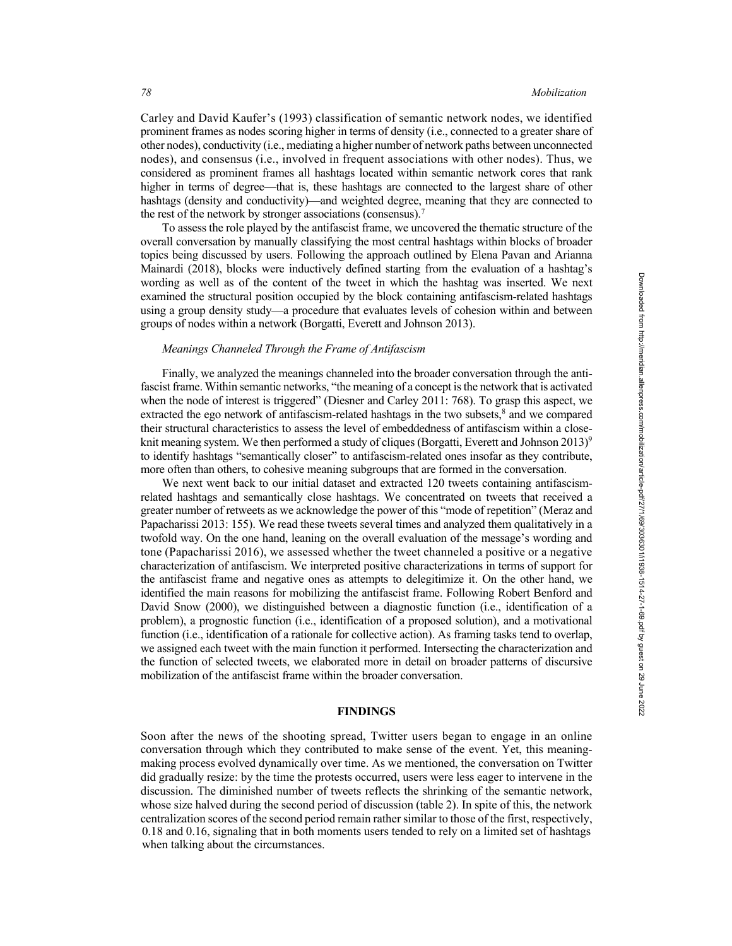Carley and David Kaufer's (1993) classification of semantic network nodes, we identified prominent frames as nodes scoring higher in terms of density (i.e., connected to a greater share of other nodes), conductivity (i.e., mediating a higher number of network paths between unconnected nodes), and consensus (i.e., involved in frequent associations with other nodes). Thus, we considered as prominent frames all hashtags located within semantic network cores that rank higher in terms of degree—that is, these hashtags are connected to the largest share of other hashtags (density and conductivity)—and weighted degree, meaning that they are connected to the rest of the network by stronger associations (consensus).<sup>7</sup>

To assess the role played by the antifascist frame, we uncovered the thematic structure of the overall conversation by manually classifying the most central hashtags within blocks of broader topics being discussed by users. Following the approach outlined by Elena Pavan and Arianna Mainardi (2018), blocks were inductively defined starting from the evaluation of a hashtag's wording as well as of the content of the tweet in which the hashtag was inserted. We next examined the structural position occupied by the block containing antifascism-related hashtags using a group density study—a procedure that evaluates levels of cohesion within and between groups of nodes within a network (Borgatti, Everett and Johnson 2013).

# *Meanings Channeled Through the Frame of Antifascism*

Finally, we analyzed the meanings channeled into the broader conversation through the antifascist frame. Within semantic networks, "the meaning of a concept is the network that is activated when the node of interest is triggered" (Diesner and Carley 2011: 768). To grasp this aspect, we extracted the ego network of antifascism-related hashtags in the two subsets,<sup>8</sup> and we compared their structural characteristics to assess the level of embeddedness of antifascism within a closeknit meaning system. We then performed a study of cliques (Borgatti, Everett and Johnson 2013)<sup>9</sup> to identify hashtags "semantically closer" to antifascism-related ones insofar as they contribute, more often than others, to cohesive meaning subgroups that are formed in the conversation.

We next went back to our initial dataset and extracted 120 tweets containing antifascismrelated hashtags and semantically close hashtags. We concentrated on tweets that received a greater number of retweets as we acknowledge the power of this "mode of repetition" (Meraz and Papacharissi 2013: 155). We read these tweets several times and analyzed them qualitatively in a twofold way. On the one hand, leaning on the overall evaluation of the message's wording and tone (Papacharissi 2016), we assessed whether the tweet channeled a positive or a negative characterization of antifascism. We interpreted positive characterizations in terms of support for the antifascist frame and negative ones as attempts to delegitimize it. On the other hand, we identified the main reasons for mobilizing the antifascist frame. Following Robert Benford and David Snow (2000), we distinguished between a diagnostic function (i.e., identification of a problem), a prognostic function (i.e., identification of a proposed solution), and a motivational function (i.e., identification of a rationale for collective action). As framing tasks tend to overlap, we assigned each tweet with the main function it performed. Intersecting the characterization and the function of selected tweets, we elaborated more in detail on broader patterns of discursive mobilization of the antifascist frame within the broader conversation.

## **FINDINGS**

Soon after the news of the shooting spread, Twitter users began to engage in an online conversation through which they contributed to make sense of the event. Yet, this meaningmaking process evolved dynamically over time. As we mentioned, the conversation on Twitter did gradually resize: by the time the protests occurred, users were less eager to intervene in the discussion. The diminished number of tweets reflects the shrinking of the semantic network, whose size halved during the second period of discussion (table 2). In spite of this, the network centralization scores of the second period remain rather similar to those of the first, respectively, 0.18 and 0.16, signaling that in both moments users tended to rely on a limited set of hashtags when talking about the circumstances.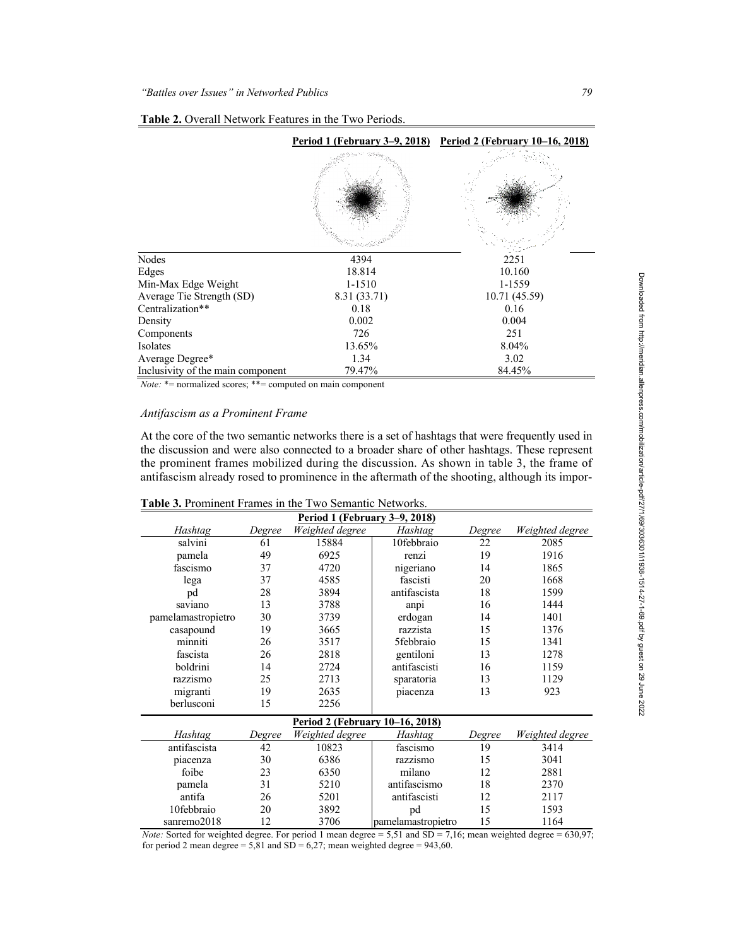|                                   |              | <u>Period 1 (February 3–9, 2018) Period 2 (February 10–16, 2018)</u> |
|-----------------------------------|--------------|----------------------------------------------------------------------|
|                                   |              |                                                                      |
| Nodes                             | 4394         | 2251                                                                 |
| Edges                             | 18.814       | 10.160                                                               |
| Min-Max Edge Weight               | 1-1510       | 1-1559                                                               |
| Average Tie Strength (SD)         | 8.31 (33.71) | 10.71 (45.59)                                                        |
| Centralization**                  | 0.18         | 0.16                                                                 |
| Density                           | 0.002        | 0.004                                                                |
| Components                        | 726          | 251                                                                  |
| Isolates                          | 13.65%       | 8.04%                                                                |
| Average Degree*                   | 1.34         | 3.02                                                                 |
| Inclusivity of the main component | 79.47%       | 84.45%                                                               |

| Table 2. Overall Network Features in the Two Periods. |  |
|-------------------------------------------------------|--|
|-------------------------------------------------------|--|

*Note:* \*= normalized scores; \*\*= computed on main component

## *Antifascism as a Prominent Frame*

At the core of the two semantic networks there is a set of hashtags that were frequently used in the discussion and were also connected to a broader share of other hashtags. These represent the prominent frames mobilized during the discussion. As shown in table 3, the frame of antifascism already rosed to prominence in the aftermath of the shooting, although its impor-

| <u>Period 1 (February 3–9, 2018)</u> |        |                 |                    |        |                 |  |
|--------------------------------------|--------|-----------------|--------------------|--------|-----------------|--|
| Hashtag                              | Degree | Weighted degree | Hashtag            | Degree | Weighted degree |  |
| salvini                              | 61     | 15884           | 10febbraio         | 22     | 2085            |  |
| pamela                               | 49     | 6925            | renzi              | 19     | 1916            |  |
| fascismo                             | 37     | 4720            | nigeriano          | 14     | 1865            |  |
| lega                                 | 37     | 4585            | fascisti           | 20     | 1668            |  |
| pd                                   | 28     | 3894            | antifascista       | 18     | 1599            |  |
| saviano                              | 13     | 3788            | anpi               | 16     | 1444            |  |
| pamelamastropietro                   | 30     | 3739            | erdogan            | 14     | 1401            |  |
| casapound                            | 19     | 3665            | razzista           | 15     | 1376            |  |
| minniti                              | 26     | 3517            | 5febbraio          | 15     | 1341            |  |
| fascista                             | 26     | 2818            | gentiloni          | 13     | 1278            |  |
| boldrini                             | 14     | 2724            | antifascisti       | 16     | 1159            |  |
| razzismo                             | 25     | 2713            | sparatoria         | 13     | 1129            |  |
| migranti                             | 19     | 2635            | piacenza           | 13     | 923             |  |
| berlusconi                           | 15     | 2256            |                    |        |                 |  |
| Period 2 (February 10-16, 2018)      |        |                 |                    |        |                 |  |
| Hashtag                              | Degree | Weighted degree | Hashtag            | Degree | Weighted degree |  |
| antifascista                         | 42     | 10823           | fascismo           | 19     | 3414            |  |
| piacenza                             | 30     | 6386            | razzismo           | 15     | 3041            |  |
| foibe                                | 23     | 6350            | milano             | 12     | 2881            |  |
| pamela                               | 31     | 5210            | antifascismo       | 18     | 2370            |  |
| antifa                               | 26     | 5201            | antifascisti       | 12     | 2117            |  |
| 10febbraio                           | 20     | 3892            | pd                 | 15     | 1593            |  |
| sanremo2018                          | 12     | 3706            | pamelamastropietro | 15     | 1164            |  |

# **Table 3.** Prominent Frames in the Two Semantic Networks.

*Note:* Sorted for weighted degree. For period 1 mean degree = 5,51 and SD = 7,16; mean weighted degree = 630,97; for period 2 mean degree =  $5,81$  and  $SD = 6,27$ ; mean weighted degree = 943,60.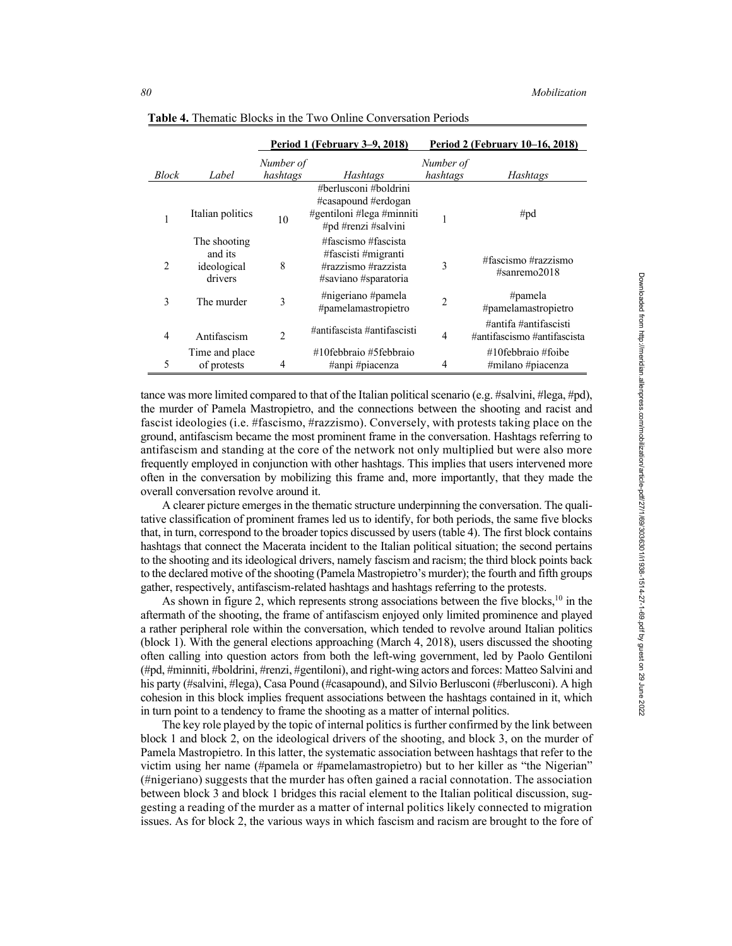|                |                                                   |                       | Period 1 (February 3-9, 2018)                                                                    | Period 2 (February 10–16, 2018) |                                                      |  |
|----------------|---------------------------------------------------|-----------------------|--------------------------------------------------------------------------------------------------|---------------------------------|------------------------------------------------------|--|
| Block          | Label                                             | Number of<br>hashtags | Hashtags                                                                                         | Number of<br>hashtags           | Hashtags                                             |  |
|                | Italian politics                                  | 10                    | #berlusconi #boldrini<br>#casapound #erdogan<br>#gentiloni #lega #minniti<br>#pd #renzi #salvini |                                 | # $pd$                                               |  |
| $\overline{2}$ | The shooting<br>and its<br>ideological<br>drivers | 8                     | #fascismo #fascista<br>#fascisti #migranti<br>#razzismo #razzista<br>#saviano #sparatoria        | 3                               | #fascismo #razzismo<br>$# \text{sanremo} 2018$       |  |
| 3              | The murder                                        | 3                     | #nigeriano #pamela<br>#pamelamastropietro                                                        | $\overline{2}$                  | # $p$ amela<br>#pamelamastropietro                   |  |
| 4              | Antifascism                                       | $\overline{2}$        | #antifascista #antifascisti                                                                      | 4                               | #antifa #antifascisti<br>#antifascismo #antifascista |  |
| 5              | Time and place<br>of protests                     | $\overline{4}$        | #10febbraio #5febbraio<br>#anpi #piacenza                                                        | 4                               | $\#10$ febbraio $\#$ foibe<br>#milano #piacenza      |  |

**Table 4.** Thematic Blocks in the Two Online Conversation Periods

tance was more limited compared to that of the Italian political scenario (e.g. #salvini, #lega, #pd), the murder of Pamela Mastropietro, and the connections between the shooting and racist and fascist ideologies (i.e. #fascismo, #razzismo). Conversely, with protests taking place on the ground, antifascism became the most prominent frame in the conversation. Hashtags referring to antifascism and standing at the core of the network not only multiplied but were also more frequently employed in conjunction with other hashtags. This implies that users intervened more often in the conversation by mobilizing this frame and, more importantly, that they made the overall conversation revolve around it.

A clearer picture emerges in the thematic structure underpinning the conversation. The qualitative classification of prominent frames led us to identify, for both periods, the same five blocks that, in turn, correspond to the broader topics discussed by users (table 4). The first block contains hashtags that connect the Macerata incident to the Italian political situation; the second pertains to the shooting and its ideological drivers, namely fascism and racism; the third block points back to the declared motive of the shooting (Pamela Mastropietro's murder); the fourth and fifth groups gather, respectively, antifascism-related hashtags and hashtags referring to the protests.

As shown in figure 2, which represents strong associations between the five blocks, $10$  in the aftermath of the shooting, the frame of antifascism enjoyed only limited prominence and played a rather peripheral role within the conversation, which tended to revolve around Italian politics (block 1). With the general elections approaching (March 4, 2018), users discussed the shooting often calling into question actors from both the left-wing government, led by Paolo Gentiloni (#pd, #minniti, #boldrini, #renzi, #gentiloni), and right-wing actors and forces: Matteo Salvini and his party (#salvini, #lega), Casa Pound (#casapound), and Silvio Berlusconi (#berlusconi). A high cohesion in this block implies frequent associations between the hashtags contained in it, which in turn point to a tendency to frame the shooting as a matter of internal politics.

The key role played by the topic of internal politics is further confirmed by the link between block 1 and block 2, on the ideological drivers of the shooting, and block 3, on the murder of Pamela Mastropietro. In this latter, the systematic association between hashtags that refer to the victim using her name (#pamela or #pamelamastropietro) but to her killer as "the Nigerian" (#nigeriano) suggests that the murder has often gained a racial connotation. The association between block 3 and block 1 bridges this racial element to the Italian political discussion, suggesting a reading of the murder as a matter of internal politics likely connected to migration issues. As for block 2, the various ways in which fascism and racism are brought to the fore of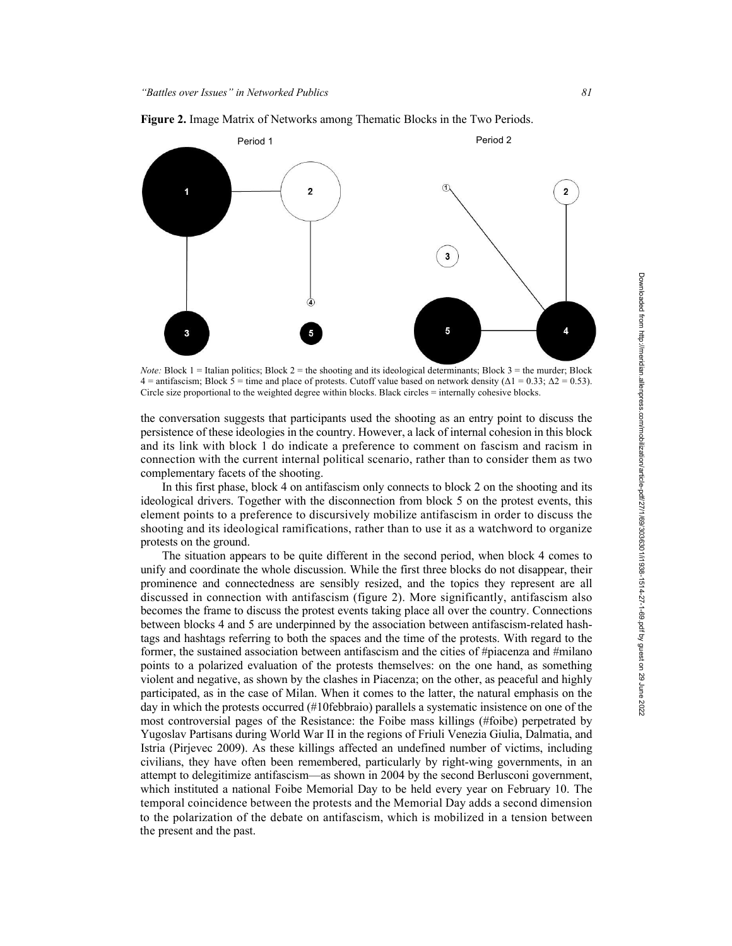

**Figure 2.** Image Matrix of Networks among Thematic Blocks in the Two Periods.

*Note:* Block 1 = Italian politics; Block 2 = the shooting and its ideological determinants; Block 3 = the murder; Block 4 = antifascism; Block  $\bar{5}$  = time and place of protests. Cutoff value based on network density ( $\Delta$ 1 = 0.33;  $\Delta$ 2 = 0.53). Circle size proportional to the weighted degree within blocks. Black circles = internally cohesive blocks.

the conversation suggests that participants used the shooting as an entry point to discuss the persistence of these ideologies in the country. However, a lack of internal cohesion in this block and its link with block 1 do indicate a preference to comment on fascism and racism in connection with the current internal political scenario, rather than to consider them as two complementary facets of the shooting.

In this first phase, block 4 on antifascism only connects to block 2 on the shooting and its ideological drivers. Together with the disconnection from block 5 on the protest events, this element points to a preference to discursively mobilize antifascism in order to discuss the shooting and its ideological ramifications, rather than to use it as a watchword to organize protests on the ground.

The situation appears to be quite different in the second period, when block 4 comes to unify and coordinate the whole discussion. While the first three blocks do not disappear, their prominence and connectedness are sensibly resized, and the topics they represent are all discussed in connection with antifascism (figure 2). More significantly, antifascism also becomes the frame to discuss the protest events taking place all over the country. Connections between blocks 4 and 5 are underpinned by the association between antifascism-related hashtags and hashtags referring to both the spaces and the time of the protests. With regard to the former, the sustained association between antifascism and the cities of #piacenza and #milano points to a polarized evaluation of the protests themselves: on the one hand, as something violent and negative, as shown by the clashes in Piacenza; on the other, as peaceful and highly participated, as in the case of Milan. When it comes to the latter, the natural emphasis on the day in which the protests occurred (#10febbraio) parallels a systematic insistence on one of the most controversial pages of the Resistance: the Foibe mass killings (#foibe) perpetrated by Yugoslav Partisans during World War II in the regions of Friuli Venezia Giulia, Dalmatia, and Istria (Pirjevec 2009). As these killings affected an undefined number of victims, including civilians, they have often been remembered, particularly by right-wing governments, in an attempt to delegitimize antifascism—as shown in 2004 by the second Berlusconi government, which instituted a national Foibe Memorial Day to be held every year on February 10. The temporal coincidence between the protests and the Memorial Day adds a second dimension to the polarization of the debate on antifascism, which is mobilized in a tension between the present and the past.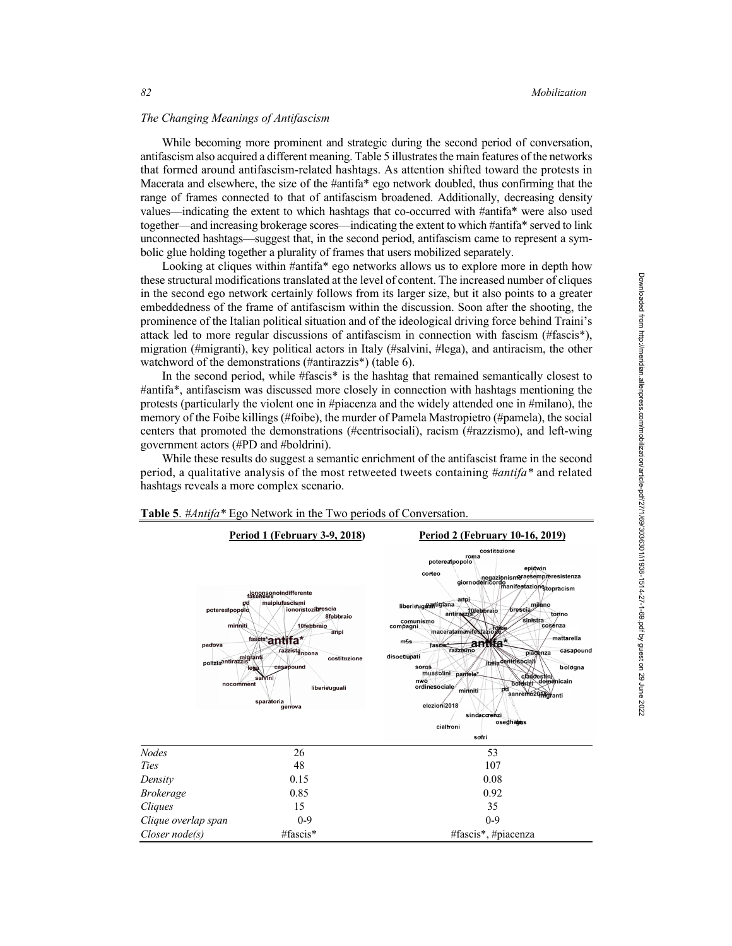### *The Changing Meanings of Antifascism*

While becoming more prominent and strategic during the second period of conversation, antifascism also acquired a different meaning. Table 5 illustrates the main features of the networks that formed around antifascism-related hashtags. As attention shifted toward the protests in Macerata and elsewhere, the size of the #antifa\* ego network doubled, thus confirming that the range of frames connected to that of antifascism broadened. Additionally, decreasing density values—indicating the extent to which hashtags that co-occurred with #antifa\* were also used together—and increasing brokerage scores—indicating the extent to which #antifa\* served to link unconnected hashtags—suggest that, in the second period, antifascism came to represent a symbolic glue holding together a plurality of frames that users mobilized separately.

Looking at cliques within #antifa\* ego networks allows us to explore more in depth how these structural modifications translated at the level of content. The increased number of cliques in the second ego network certainly follows from its larger size, but it also points to a greater embeddedness of the frame of antifascism within the discussion. Soon after the shooting, the prominence of the Italian political situation and of the ideological driving force behind Traini's attack led to more regular discussions of antifascism in connection with fascism (#fascis\*), migration (#migranti), key political actors in Italy (#salvini, #lega), and antiracism, the other watchword of the demonstrations (#antirazzis\*) (table 6).

In the second period, while #fascis\* is the hashtag that remained semantically closest to #antifa\*, antifascism was discussed more closely in connection with hashtags mentioning the protests (particularly the violent one in #piacenza and the widely attended one in #milano), the memory of the Foibe killings (#foibe), the murder of Pamela Mastropietro (#pamela), the social centers that promoted the demonstrations (#centrisociali), racism (#razzismo), and left-wing government actors (#PD and #boldrini).

While these results do suggest a semantic enrichment of the antifascist frame in the second period, a qualitative analysis of the most retweeted tweets containing *#antifa\** and related hashtags reveals a more complex scenario.



#### **Table 5**. *#Antifa\** Ego Network in the Two periods of Conversation.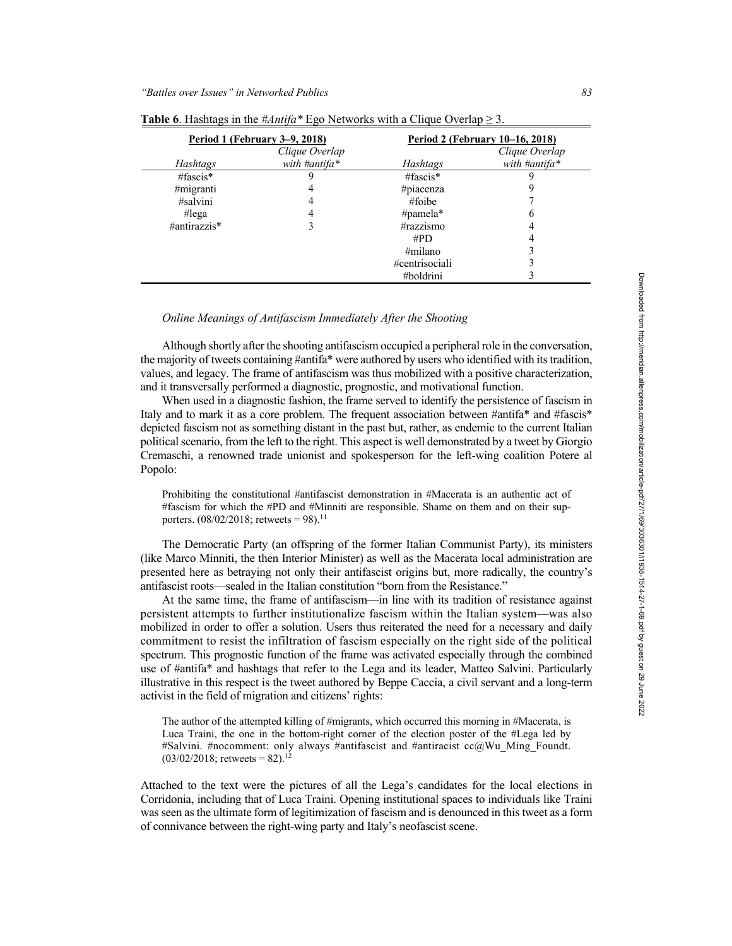|              | Period 1 (February 3–9, 2018) | Period 2 (February 10-16, 2018) |                |  |  |
|--------------|-------------------------------|---------------------------------|----------------|--|--|
|              | Clique Overlap                |                                 | Clique Overlap |  |  |
| Hashtags     | with #antifa*                 | Hashtags                        | with #antifa*  |  |  |
| #fascis $*$  |                               | #fascis $*$                     |                |  |  |
| #migranti    |                               | #piacenza                       |                |  |  |
| #salvini     | 4                             | #foibe                          |                |  |  |
| #lega        |                               | #pamela $*$                     | O              |  |  |
| #antirazzis* | 3                             | #razzismo                       |                |  |  |
|              |                               | #PD                             |                |  |  |
|              |                               | $\#$ milano                     |                |  |  |
|              |                               | #centrisociali                  |                |  |  |
|              |                               | #boldrini                       |                |  |  |

| Table 6. Hashtags in the #Antifa* Ego Networks with a Clique Overlap $\geq$ 3. |  |  |  |  |
|--------------------------------------------------------------------------------|--|--|--|--|
|                                                                                |  |  |  |  |

# *Online Meanings of Antifascism Immediately After the Shooting*

Although shortly after the shooting antifascism occupied a peripheral role in the conversation, the majority of tweets containing #antifa\* were authored by users who identified with its tradition, values, and legacy. The frame of antifascism was thus mobilized with a positive characterization, and it transversally performed a diagnostic, prognostic, and motivational function.

When used in a diagnostic fashion, the frame served to identify the persistence of fascism in Italy and to mark it as a core problem. The frequent association between #antifa\* and #fascis\* depicted fascism not as something distant in the past but, rather, as endemic to the current Italian political scenario, from the left to the right. This aspect is well demonstrated by a tweet by Giorgio Cremaschi, a renowned trade unionist and spokesperson for the left-wing coalition Potere al Popolo:

Prohibiting the constitutional #antifascist demonstration in #Macerata is an authentic act of #fascism for which the #PD and #Minniti are responsible. Shame on them and on their supporters.  $(08/02/2018;$  retweets = 98).<sup>11</sup>

The Democratic Party (an offspring of the former Italian Communist Party), its ministers (like Marco Minniti, the then Interior Minister) as well as the Macerata local administration are presented here as betraying not only their antifascist origins but, more radically, the country's antifascist roots—sealed in the Italian constitution "born from the Resistance."

At the same time, the frame of antifascism—in line with its tradition of resistance against persistent attempts to further institutionalize fascism within the Italian system—was also mobilized in order to offer a solution. Users thus reiterated the need for a necessary and daily commitment to resist the infiltration of fascism especially on the right side of the political spectrum. This prognostic function of the frame was activated especially through the combined use of #antifa\* and hashtags that refer to the Lega and its leader, Matteo Salvini. Particularly illustrative in this respect is the tweet authored by Beppe Caccia, a civil servant and a long-term activist in the field of migration and citizens' rights:

The author of the attempted killing of #migrants, which occurred this morning in #Macerata, is Luca Traini, the one in the bottom-right corner of the election poster of the #Lega led by #Salvini. #nocomment: only always #antifascist and #antiracist cc@Wu\_Ming\_Foundt.  $(03/02/2018;$  retweets = 82).<sup>12</sup>

Attached to the text were the pictures of all the Lega's candidates for the local elections in Corridonia, including that of Luca Traini. Opening institutional spaces to individuals like Traini was seen as the ultimate form of legitimization of fascism and is denounced in this tweet as a form of connivance between the right-wing party and Italy's neofascist scene.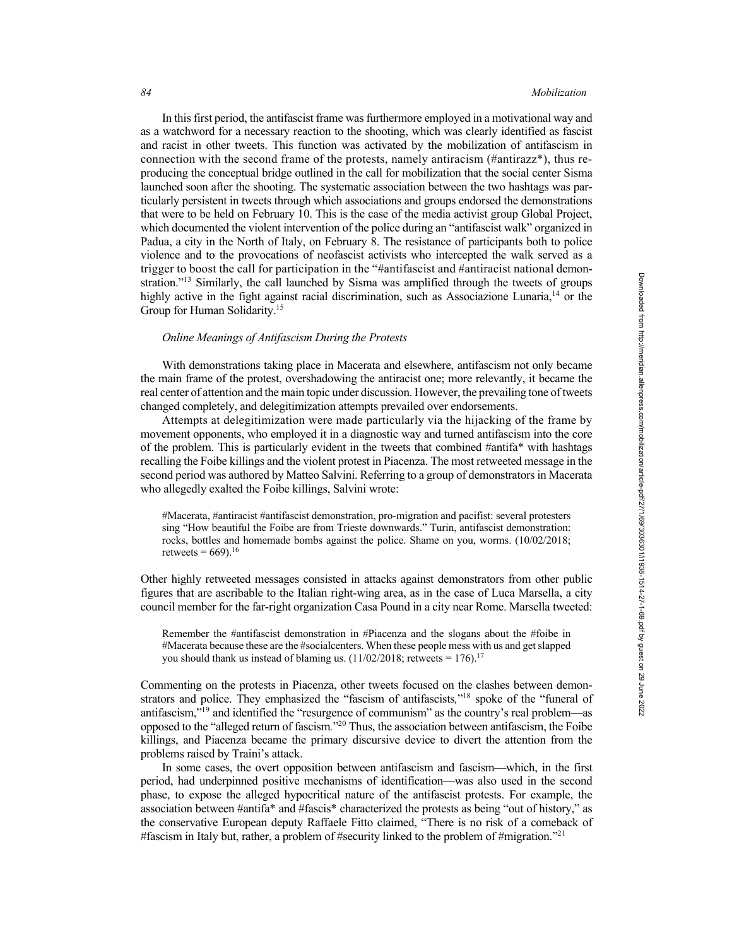In this first period, the antifascist frame was furthermore employed in a motivational way and as a watchword for a necessary reaction to the shooting, which was clearly identified as fascist and racist in other tweets. This function was activated by the mobilization of antifascism in connection with the second frame of the protests, namely antiracism (#antirazz\*), thus reproducing the conceptual bridge outlined in the call for mobilization that the social center Sisma launched soon after the shooting. The systematic association between the two hashtags was particularly persistent in tweets through which associations and groups endorsed the demonstrations that were to be held on February 10. This is the case of the media activist group Global Project, which documented the violent intervention of the police during an "antifascist walk" organized in Padua, a city in the North of Italy, on February 8. The resistance of participants both to police violence and to the provocations of neofascist activists who intercepted the walk served as a trigger to boost the call for participation in the "#antifascist and #antiracist national demonstration."<sup>13</sup> Similarly, the call launched by Sisma was amplified through the tweets of groups highly active in the fight against racial discrimination, such as Associazione Lunaria,<sup>14</sup> or the Group for Human Solidarity.<sup>15</sup>

### *Online Meanings of Antifascism During the Protests*

With demonstrations taking place in Macerata and elsewhere, antifascism not only became the main frame of the protest, overshadowing the antiracist one; more relevantly, it became the real center of attention and the main topic under discussion. However, the prevailing tone of tweets changed completely, and delegitimization attempts prevailed over endorsements.

Attempts at delegitimization were made particularly via the hijacking of the frame by movement opponents, who employed it in a diagnostic way and turned antifascism into the core of the problem. This is particularly evident in the tweets that combined #antifa\* with hashtags recalling the Foibe killings and the violent protest in Piacenza. The most retweeted message in the second period was authored by Matteo Salvini. Referring to a group of demonstrators in Macerata who allegedly exalted the Foibe killings, Salvini wrote:

#Macerata, #antiracist #antifascist demonstration, pro-migration and pacifist: several protesters sing "How beautiful the Foibe are from Trieste downwards." Turin, antifascist demonstration: rocks, bottles and homemade bombs against the police. Shame on you, worms. (10/02/2018; retweets =  $669$ ).<sup>16</sup>

Other highly retweeted messages consisted in attacks against demonstrators from other public figures that are ascribable to the Italian right-wing area, as in the case of Luca Marsella, a city council member for the far-right organization Casa Pound in a city near Rome. Marsella tweeted:

Remember the #antifascist demonstration in #Piacenza and the slogans about the #foibe in #Macerata because these are the #socialcenters. When these people mess with us and get slapped you should thank us instead of blaming us.  $(11/02/2018)$ ; retweets = 176).<sup>17</sup>

Commenting on the protests in Piacenza, other tweets focused on the clashes between demonstrators and police. They emphasized the "fascism of antifascists*,*"18 spoke of the "funeral of antifascism,"19 and identified the "resurgence of communism" as the country's real problem—as opposed to the "alleged return of fascism*.*"20 Thus, the association between antifascism, the Foibe killings, and Piacenza became the primary discursive device to divert the attention from the problems raised by Traini's attack.

In some cases, the overt opposition between antifascism and fascism—which, in the first period, had underpinned positive mechanisms of identification—was also used in the second phase, to expose the alleged hypocritical nature of the antifascist protests. For example, the association between #antifa\* and #fascis\* characterized the protests as being "out of history," as the conservative European deputy Raffaele Fitto claimed, "There is no risk of a comeback of #fascism in Italy but, rather, a problem of #security linked to the problem of #migration."<sup>21</sup>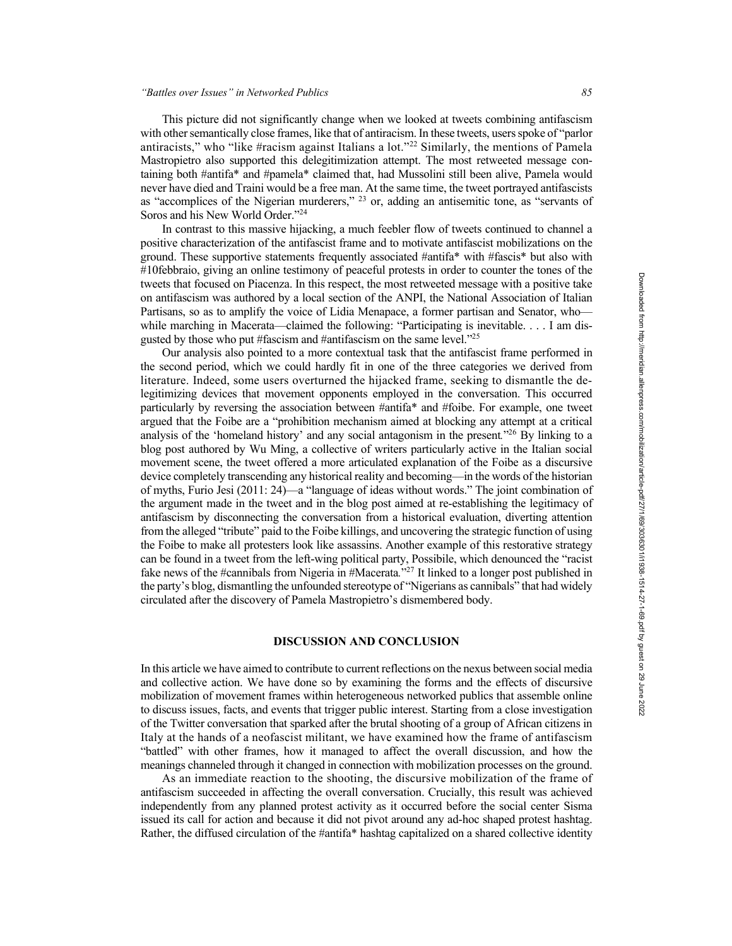This picture did not significantly change when we looked at tweets combining antifascism with other semantically close frames, like that of antiracism. In these tweets, users spoke of "parlor" antiracists," who "like #racism against Italians a lot."<sup>22</sup> Similarly, the mentions of Pamela Mastropietro also supported this delegitimization attempt. The most retweeted message containing both #antifa\* and #pamela\* claimed that, had Mussolini still been alive, Pamela would never have died and Traini would be a free man. At the same time, the tweet portrayed antifascists as "accomplices of the Nigerian murderers,"  $^{23}$  or, adding an antisemitic tone, as "servants of Soros and his New World Order."<sup>24</sup>

In contrast to this massive hijacking, a much feebler flow of tweets continued to channel a positive characterization of the antifascist frame and to motivate antifascist mobilizations on the ground. These supportive statements frequently associated #antifa\* with #fascis\* but also with #10febbraio, giving an online testimony of peaceful protests in order to counter the tones of the tweets that focused on Piacenza. In this respect, the most retweeted message with a positive take on antifascism was authored by a local section of the ANPI, the National Association of Italian Partisans, so as to amplify the voice of Lidia Menapace, a former partisan and Senator, who while marching in Macerata—claimed the following: "Participating is inevitable. . . . I am disgusted by those who put #fascism and #antifascism on the same level."<sup>25</sup>

Our analysis also pointed to a more contextual task that the antifascist frame performed in the second period, which we could hardly fit in one of the three categories we derived from literature. Indeed, some users overturned the hijacked frame, seeking to dismantle the delegitimizing devices that movement opponents employed in the conversation. This occurred particularly by reversing the association between #antifa\* and #foibe. For example, one tweet argued that the Foibe are a "prohibition mechanism aimed at blocking any attempt at a critical analysis of the 'homeland history' and any social antagonism in the present*.*"26 By linking to a blog post authored by Wu Ming, a collective of writers particularly active in the Italian social movement scene, the tweet offered a more articulated explanation of the Foibe as a discursive device completely transcending any historical reality and becoming—in the words of the historian of myths, Furio Jesi (2011: 24)—a "language of ideas without words." The joint combination of the argument made in the tweet and in the blog post aimed at re-establishing the legitimacy of antifascism by disconnecting the conversation from a historical evaluation, diverting attention from the alleged "tribute" paid to the Foibe killings, and uncovering the strategic function of using the Foibe to make all protesters look like assassins. Another example of this restorative strategy can be found in a tweet from the left-wing political party, Possibile, which denounced the "racist fake news of the #cannibals from Nigeria in #Macerata*.*"27 It linked to a longer post published in the party's blog, dismantling the unfounded stereotype of "Nigerians as cannibals" that had widely circulated after the discovery of Pamela Mastropietro's dismembered body.

# **DISCUSSION AND CONCLUSION**

In this article we have aimed to contribute to current reflections on the nexus between social media and collective action. We have done so by examining the forms and the effects of discursive mobilization of movement frames within heterogeneous networked publics that assemble online to discuss issues, facts, and events that trigger public interest. Starting from a close investigation of the Twitter conversation that sparked after the brutal shooting of a group of African citizens in Italy at the hands of a neofascist militant, we have examined how the frame of antifascism "battled" with other frames, how it managed to affect the overall discussion, and how the meanings channeled through it changed in connection with mobilization processes on the ground.

As an immediate reaction to the shooting, the discursive mobilization of the frame of antifascism succeeded in affecting the overall conversation. Crucially, this result was achieved independently from any planned protest activity as it occurred before the social center Sisma issued its call for action and because it did not pivot around any ad-hoc shaped protest hashtag. Rather, the diffused circulation of the #antifa\* hashtag capitalized on a shared collective identity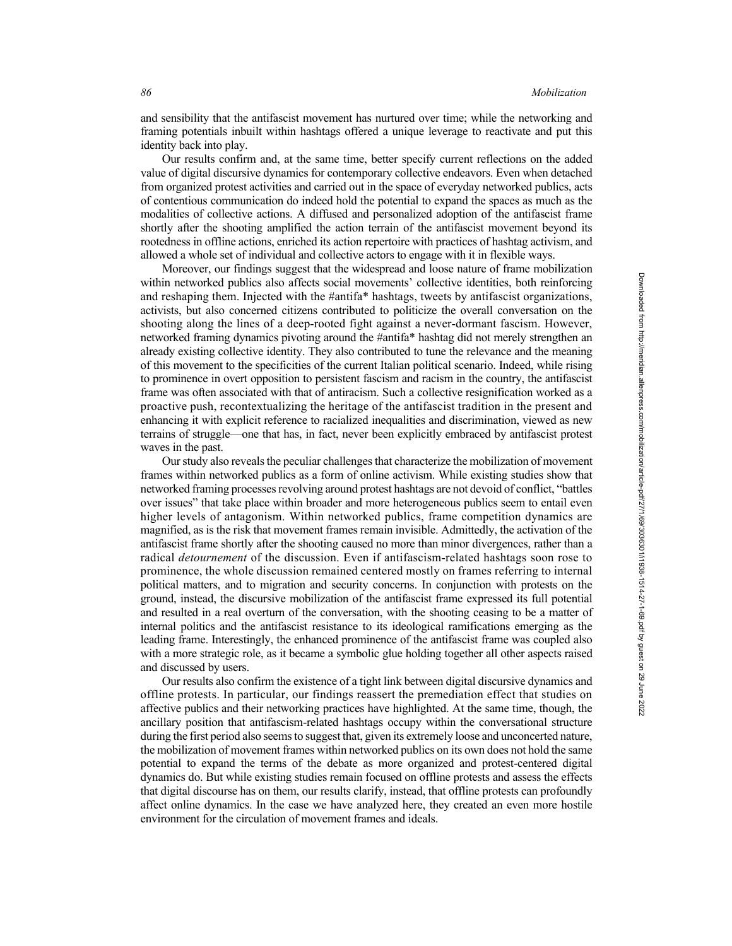and sensibility that the antifascist movement has nurtured over time; while the networking and framing potentials inbuilt within hashtags offered a unique leverage to reactivate and put this identity back into play.

Our results confirm and, at the same time, better specify current reflections on the added value of digital discursive dynamics for contemporary collective endeavors. Even when detached from organized protest activities and carried out in the space of everyday networked publics, acts of contentious communication do indeed hold the potential to expand the spaces as much as the modalities of collective actions. A diffused and personalized adoption of the antifascist frame shortly after the shooting amplified the action terrain of the antifascist movement beyond its rootedness in offline actions, enriched its action repertoire with practices of hashtag activism, and allowed a whole set of individual and collective actors to engage with it in flexible ways.

Moreover, our findings suggest that the widespread and loose nature of frame mobilization within networked publics also affects social movements' collective identities, both reinforcing and reshaping them. Injected with the #antifa\* hashtags, tweets by antifascist organizations, activists, but also concerned citizens contributed to politicize the overall conversation on the shooting along the lines of a deep-rooted fight against a never-dormant fascism. However, networked framing dynamics pivoting around the #antifa\* hashtag did not merely strengthen an already existing collective identity. They also contributed to tune the relevance and the meaning of this movement to the specificities of the current Italian political scenario. Indeed, while rising to prominence in overt opposition to persistent fascism and racism in the country, the antifascist frame was often associated with that of antiracism. Such a collective resignification worked as a proactive push, recontextualizing the heritage of the antifascist tradition in the present and enhancing it with explicit reference to racialized inequalities and discrimination, viewed as new terrains of struggle—one that has, in fact, never been explicitly embraced by antifascist protest waves in the past.

Our study also reveals the peculiar challenges that characterize the mobilization of movement frames within networked publics as a form of online activism. While existing studies show that networked framing processes revolving around protest hashtags are not devoid of conflict, "battles over issues" that take place within broader and more heterogeneous publics seem to entail even higher levels of antagonism. Within networked publics, frame competition dynamics are magnified, as is the risk that movement frames remain invisible. Admittedly, the activation of the antifascist frame shortly after the shooting caused no more than minor divergences, rather than a radical *detournement* of the discussion. Even if antifascism-related hashtags soon rose to prominence, the whole discussion remained centered mostly on frames referring to internal political matters, and to migration and security concerns. In conjunction with protests on the ground, instead, the discursive mobilization of the antifascist frame expressed its full potential and resulted in a real overturn of the conversation, with the shooting ceasing to be a matter of internal politics and the antifascist resistance to its ideological ramifications emerging as the leading frame. Interestingly, the enhanced prominence of the antifascist frame was coupled also with a more strategic role, as it became a symbolic glue holding together all other aspects raised and discussed by users.

Our results also confirm the existence of a tight link between digital discursive dynamics and offline protests. In particular, our findings reassert the premediation effect that studies on affective publics and their networking practices have highlighted. At the same time, though, the ancillary position that antifascism-related hashtags occupy within the conversational structure during the first period also seems to suggest that, given its extremely loose and unconcerted nature, the mobilization of movement frames within networked publics on its own does not hold the same potential to expand the terms of the debate as more organized and protest-centered digital dynamics do. But while existing studies remain focused on offline protests and assess the effects that digital discourse has on them, our results clarify, instead, that offline protests can profoundly affect online dynamics. In the case we have analyzed here, they created an even more hostile environment for the circulation of movement frames and ideals.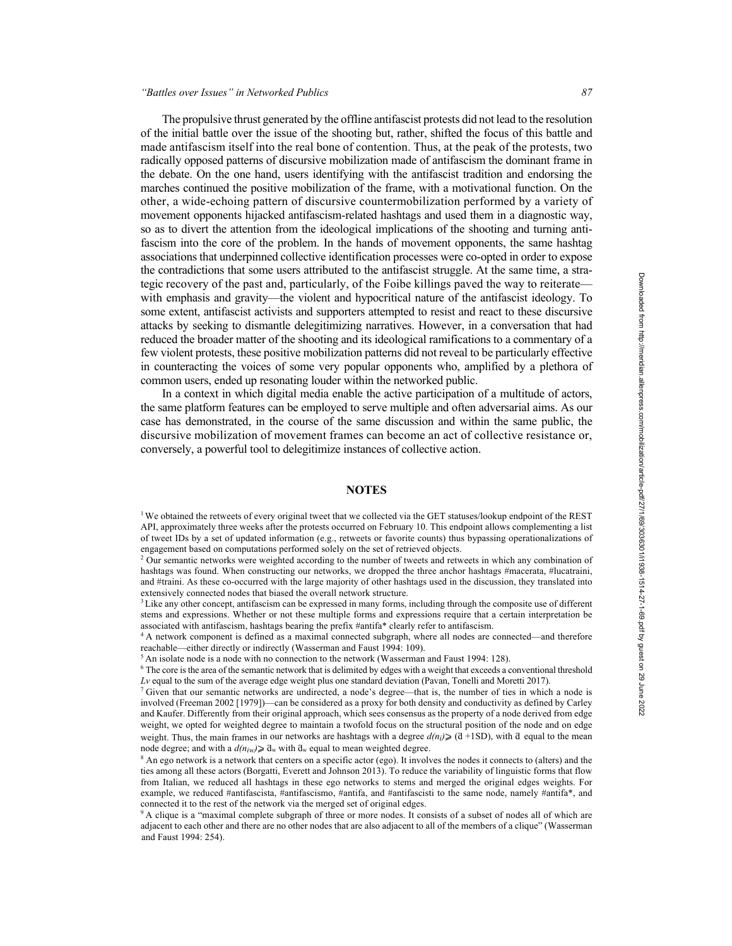The propulsive thrust generated by the offline antifascist protests did not lead to the resolution of the initial battle over the issue of the shooting but, rather, shifted the focus of this battle and made antifascism itself into the real bone of contention. Thus, at the peak of the protests, two radically opposed patterns of discursive mobilization made of antifascism the dominant frame in the debate. On the one hand, users identifying with the antifascist tradition and endorsing the marches continued the positive mobilization of the frame, with a motivational function. On the other, a wide-echoing pattern of discursive countermobilization performed by a variety of movement opponents hijacked antifascism-related hashtags and used them in a diagnostic way, so as to divert the attention from the ideological implications of the shooting and turning antifascism into the core of the problem. In the hands of movement opponents, the same hashtag associations that underpinned collective identification processes were co-opted in order to expose the contradictions that some users attributed to the antifascist struggle. At the same time, a strategic recovery of the past and, particularly, of the Foibe killings paved the way to reiterate with emphasis and gravity—the violent and hypocritical nature of the antifascist ideology. To some extent, antifascist activists and supporters attempted to resist and react to these discursive attacks by seeking to dismantle delegitimizing narratives. However, in a conversation that had reduced the broader matter of the shooting and its ideological ramifications to a commentary of a few violent protests, these positive mobilization patterns did not reveal to be particularly effective in counteracting the voices of some very popular opponents who, amplified by a plethora of common users, ended up resonating louder within the networked public.

In a context in which digital media enable the active participation of a multitude of actors, the same platform features can be employed to serve multiple and often adversarial aims. As our case has demonstrated, in the course of the same discussion and within the same public, the discursive mobilization of movement frames can become an act of collective resistance or, conversely, a powerful tool to delegitimize instances of collective action.

# **NOTES**

<sup>1</sup> We obtained the retweets of every original tweet that we collected via the GET statuses/lookup endpoint of the REST API, approximately three weeks after the protests occurred on February 10. This endpoint allows complementing a list of tweet IDs by a set of updated information (e.g., retweets or favorite counts) thus bypassing operationalizations of engagement based on computations performed solely on the set of retrieved objects.

<sup>2</sup> Our semantic networks were weighted according to the number of tweets and retweets in which any combination of hashtags was found. When constructing our networks, we dropped the three anchor hashtags #macerata, #lucatraini, and #traini. As these co-occurred with the large majority of other hashtags used in the discussion, they translated into extensively connected nodes that biased the overall network structure.

<sup>3</sup> Like any other concept, antifascism can be expressed in many forms, including through the composite use of different stems and expressions. Whether or not these multiple forms and expressions require that a certain interpretation be associated with antifascism, hashtags bearing the prefix #antifa\* clearly refer to antifascism.

<sup>4</sup> A network component is defined as a maximal connected subgraph, where all nodes are connected—and therefore reachable—either directly or indirectly (Wasserman and Faust 1994: 109).

 $<sup>5</sup>$  An isolate node is a node with no connection to the network (Wasserman and Faust 1994: 128).</sup>

<sup>6</sup> The core isthe area of the semantic network that is delimited by edges with a weight that exceeds a conventional threshold *Lv* equal to the sum of the average edge weight plus one standard deviation (Pavan, Tonelli and Moretti 2017).

 $7$  Given that our semantic networks are undirected, a node's degree—that is, the number of ties in which a node is involved (Freeman 2002 [1979])—can be considered as a proxy for both density and conductivity as defined by Carley and Kaufer. Differently from their original approach, which sees consensus as the property of a node derived from edge weight, we opted for weighted degree to maintain a twofold focus on the structural position of the node and on edge weight. Thus, the main frames in our networks are hashtags with a degree  $d(n_i)$  ( $d + 1SD$ ), with  $d$  equal to the mean node degree; and with a  $d(n_{iw}) \geq d_w$  with  $d_w$  equal to mean weighted degree.

 $8$  An ego network is a network that centers on a specific actor (ego). It involves the nodes it connects to (alters) and the ties among all these actors (Borgatti, Everett and Johnson 2013). To reduce the variability of linguistic forms that flow from Italian, we reduced all hashtags in these ego networks to stems and merged the original edges weights. For example, we reduced #antifascista, #antifascismo, #antifa, and #antifascisti to the same node, namely #antifa\*, and connected it to the rest of the network via the merged set of original edges.

<sup>9</sup> A clique is a "maximal complete subgraph of three or more nodes. It consists of a subset of nodes all of which are adjacent to each other and there are no other nodes that are also adjacent to all of the members of a clique" (Wasserman and Faust 1994: 254).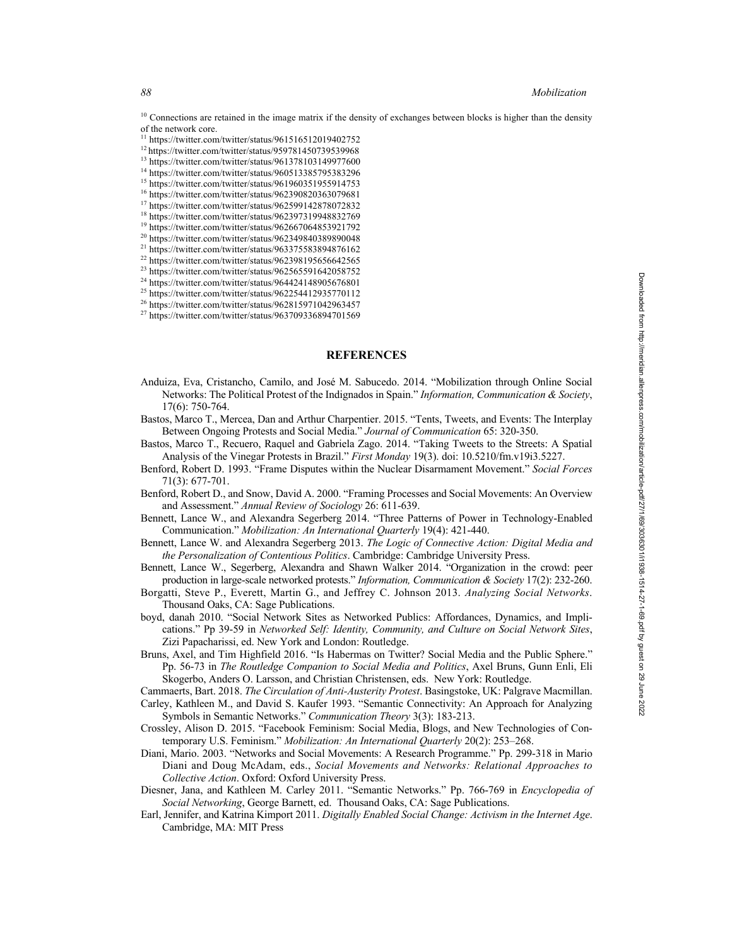$10$  Connections are retained in the image matrix if the density of exchanges between blocks is higher than the density of the network core.

- $11$  https://twitter.com/twitter/status/961516512019402752
- <sup>12</sup> https://twitter.com/twitter/status/959781450739539968
- <sup>13</sup> https://twitter.com/twitter/status/961378103149977600
- <sup>14</sup> https://twitter.com/twitter/status/960513385795383296 <sup>15</sup> https://twitter.com/twitter/status/961960351955914753
- <sup>16</sup> https://twitter.com/twitter/status/962390820363079681
- <sup>17</sup> https://twitter.com/twitter/status/962599142878072832
- <sup>18</sup> https://twitter.com/twitter/status/962397319948832769
- <sup>19</sup> https://twitter.com/twitter/status/962667064853921792
- <sup>20</sup> https://twitter.com/twitter/status/962349840389890048
- <sup>21</sup> https://twitter.com/twitter/status/963375583894876162
- <sup>22</sup> https://twitter.com/twitter/status/962398195656642565
- <sup>23</sup> https://twitter.com/twitter/status/962565591642058752
- <sup>24</sup> https://twitter.com/twitter/status/964424148905676801
- <sup>25</sup> https://twitter.com/twitter/status/962254412935770112
- <sup>26</sup> https://twitter.com/twitter/status/962815971042963457
- <sup>27</sup> https://twitter.com/twitter/status/963709336894701569

### **REFERENCES**

- Anduiza, Eva, Cristancho, Camilo, and José M. Sabucedo. 2014. "Mobilization through Online Social Networks: The Political Protest of the Indignados in Spain." *Information, Communication & Society*, 17(6): 750-764.
- Bastos, Marco T., Mercea, Dan and Arthur Charpentier. 2015. "Tents, Tweets, and Events: The Interplay Between Ongoing Protests and Social Media." *Journal of Communication* 65: 320-350.
- Bastos, Marco T., Recuero, Raquel and Gabriela Zago. 2014. "Taking Tweets to the Streets: A Spatial Analysis of the Vinegar Protests in Brazil." *First Monday* 19(3). doi: 10.5210/fm.v19i3.5227.
- Benford, Robert D. 1993. "Frame Disputes within the Nuclear Disarmament Movement." *Social Forces* 71(3): 677-701.
- Benford, Robert D., and Snow, David A. 2000. "Framing Processes and Social Movements: An Overview and Assessment." *Annual Review of Sociology* 26: 611-639.
- Bennett, Lance W., and Alexandra Segerberg 2014. "Three Patterns of Power in Technology-Enabled Communication." *Mobilization: An International Quarterly* 19(4): 421-440.
- Bennett, Lance W. and Alexandra Segerberg 2013. *The Logic of Connective Action: Digital Media and the Personalization of Contentious Politics*. Cambridge: Cambridge University Press.
- Bennett, Lance W., Segerberg, Alexandra and Shawn Walker 2014. "Organization in the crowd: peer production in large-scale networked protests." *Information, Communication & Society* 17(2): 232-260.
- Borgatti, Steve P., Everett, Martin G., and Jeffrey C. Johnson 2013. *Analyzing Social Networks*. Thousand Oaks, CA: Sage Publications.
- boyd, danah 2010. "Social Network Sites as Networked Publics: Affordances, Dynamics, and Implications." Pp 39-59 in *Networked Self: Identity, Community, and Culture on Social Network Sites*, Zizi Papacharissi, ed. New York and London: Routledge.
- Bruns, Axel, and Tim Highfield 2016. "Is Habermas on Twitter? Social Media and the Public Sphere." Pp. 56-73 in *The Routledge Companion to Social Media and Politics*, Axel Bruns, Gunn Enli, Eli Skogerbo, Anders O. Larsson, and Christian Christensen, eds. New York: Routledge.

Cammaerts, Bart. 2018. *The Circulation of Anti-Austerity Protest*. Basingstoke, UK: Palgrave Macmillan.

- Carley, Kathleen M., and David S. Kaufer 1993. "Semantic Connectivity: An Approach for Analyzing Symbols in Semantic Networks." *Communication Theory* 3(3): 183-213.
- Crossley, Alison D. 2015. "Facebook Feminism: Social Media, Blogs, and New Technologies of Contemporary U.S. Feminism." *Mobilization: An International Quarterly* 20(2): 253–268.
- Diani, Mario. 2003. "Networks and Social Movements: A Research Programme." Pp. 299-318 in Mario Diani and Doug McAdam, eds., *Social Movements and Networks: Relational Approaches to Collective Action*. Oxford: Oxford University Press.
- Diesner, Jana, and Kathleen M. Carley 2011. "Semantic Networks." Pp. 766-769 in *Encyclopedia of Social Networking*, George Barnett, ed. Thousand Oaks, CA: Sage Publications.
- Earl, Jennifer, and Katrina Kimport 2011. *Digitally Enabled Social Change: Activism in the Internet Age*. Cambridge, MA: MIT Press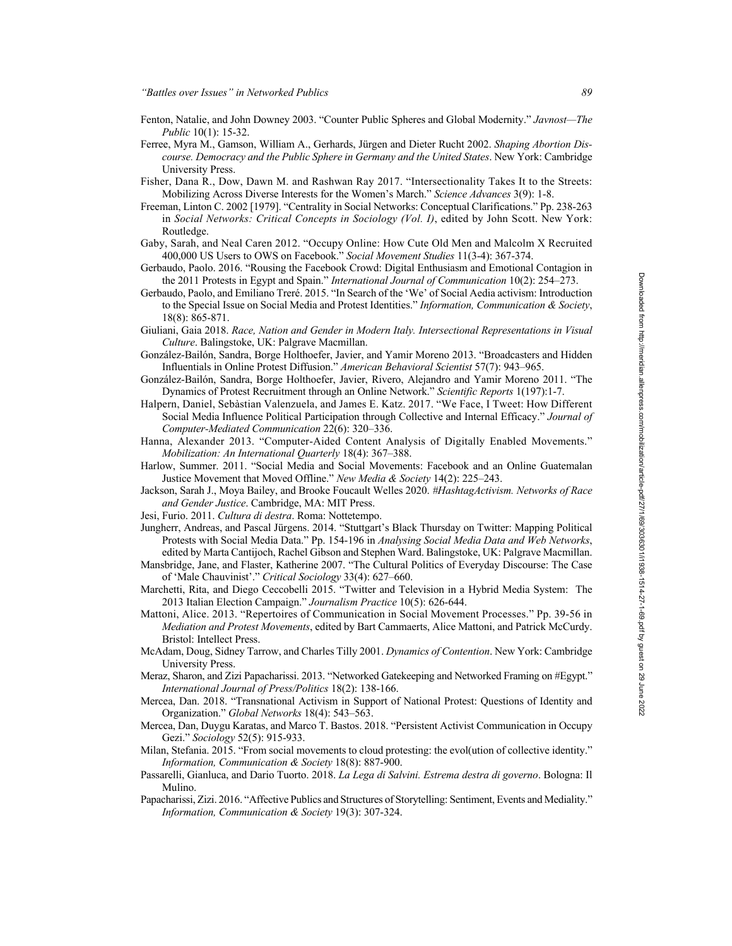- Fenton, Natalie, and John Downey 2003. "Counter Public Spheres and Global Modernity." *Javnost—The Public* 10(1): 15-32.
- Ferree, Myra M., Gamson, William A., Gerhards, Jürgen and Dieter Rucht 2002. *Shaping Abortion Discourse. Democracy and the Public Sphere in Germany and the United States*. New York: Cambridge University Press.
- Fisher, Dana R., Dow, Dawn M. and Rashwan Ray 2017. "Intersectionality Takes It to the Streets: Mobilizing Across Diverse Interests for the Women's March." *Science Advances* 3(9): 1-8.
- Freeman, Linton C. 2002 [1979]. "Centrality in Social Networks: Conceptual Clarifications." Pp. 238-263 in *Social Networks: Critical Concepts in Sociology (Vol. I)*, edited by John Scott. New York: Routledge.
- Gaby, Sarah, and Neal Caren 2012. "Occupy Online: How Cute Old Men and Malcolm X Recruited 400,000 US Users to OWS on Facebook." *Social Movement Studies* 11(3-4): 367-374.
- Gerbaudo, Paolo. 2016. "Rousing the Facebook Crowd: Digital Enthusiasm and Emotional Contagion in the 2011 Protests in Egypt and Spain." *International Journal of Communication* 10(2): 254–273.
- Gerbaudo, Paolo, and Emiliano Treré. 2015. "In Search of the 'We' of Social Aedia activism: Introduction to the Special Issue on Social Media and Protest Identities." *Information, Communication & Society*, 18(8): 865-871.
- Giuliani, Gaia 2018. *Race, Nation and Gender in Modern Italy. Intersectional Representations in Visual Culture*. Balingstoke, UK: Palgrave Macmillan.
- González-Bailón, Sandra, Borge Holthoefer, Javier, and Yamir Moreno 2013. "Broadcasters and Hidden Influentials in Online Protest Diffusion." *American Behavioral Scientist* 57(7): 943–965.
- González-Bailón, Sandra, Borge Holthoefer, Javier, Rivero, Alejandro and Yamir Moreno 2011. "The Dynamics of Protest Recruitment through an Online Network." *Scientific Reports* 1(197):1-7.
- Halpern, Daniel, Sebàstian Valenzuela, and James E. Katz. 2017. "We Face, I Tweet: How Different Social Media Influence Political Participation through Collective and Internal Efficacy." *Journal of Computer-Mediated Communication* 22(6): 320–336.
- Hanna, Alexander 2013. "Computer-Aided Content Analysis of Digitally Enabled Movements." *Mobilization: An International Quarterly* 18(4): 367–388.
- Harlow, Summer. 2011. "Social Media and Social Movements: Facebook and an Online Guatemalan Justice Movement that Moved Offline." *New Media & Society* 14(2): 225–243.
- Jackson, Sarah J., Moya Bailey, and Brooke Foucault Welles 2020. *#HashtagActivism. Networks of Race and Gender Justice*. Cambridge, MA: MIT Press.
- Jesi, Furio. 2011. *Cultura di destra*. Roma: Nottetempo.
- Jungherr, Andreas, and Pascal Jürgens. 2014. "Stuttgart's Black Thursday on Twitter: Mapping Political Protests with Social Media Data." Pp. 154-196 in *Analysing Social Media Data and Web Networks*, edited by Marta Cantijoch, Rachel Gibson and Stephen Ward. Balingstoke, UK: Palgrave Macmillan.
- Mansbridge, Jane, and Flaster, Katherine 2007. "The Cultural Politics of Everyday Discourse: The Case of 'Male Chauvinist'." *Critical Sociology* 33(4): 627–660.
- Marchetti, Rita, and Diego Ceccobelli 2015. "Twitter and Television in a Hybrid Media System: The 2013 Italian Election Campaign." *Journalism Practice* 10(5): 626-644.
- Mattoni, Alice. 2013. "Repertoires of Communication in Social Movement Processes." Pp. 39-56 in *Mediation and Protest Movements*, edited by Bart Cammaerts, Alice Mattoni, and Patrick McCurdy. Bristol: Intellect Press.
- McAdam, Doug, Sidney Tarrow, and Charles Tilly 2001. *Dynamics of Contention*. New York: Cambridge University Press.
- Meraz, Sharon, and Zizi Papacharissi. 2013. "Networked Gatekeeping and Networked Framing on #Egypt." *International Journal of Press/Politics* 18(2): 138-166.
- Mercea, Dan. 2018. "Transnational Activism in Support of National Protest: Questions of Identity and Organization." *Global Networks* 18(4): 543–563.
- Mercea, Dan, Duygu Karatas, and Marco T. Bastos. 2018. "Persistent Activist Communication in Occupy Gezi." *Sociology* 52(5): 915-933.
- Milan, Stefania. 2015. "From social movements to cloud protesting: the evol(ution of collective identity." *Information, Communication & Society* 18(8): 887-900.
- Passarelli, Gianluca, and Dario Tuorto. 2018. *La Lega di Salvini. Estrema destra di governo*. Bologna: Il Mulino.
- Papacharissi, Zizi. 2016. "Affective Publics and Structures of Storytelling: Sentiment, Events and Mediality." *Information, Communication & Society* 19(3): 307-324.